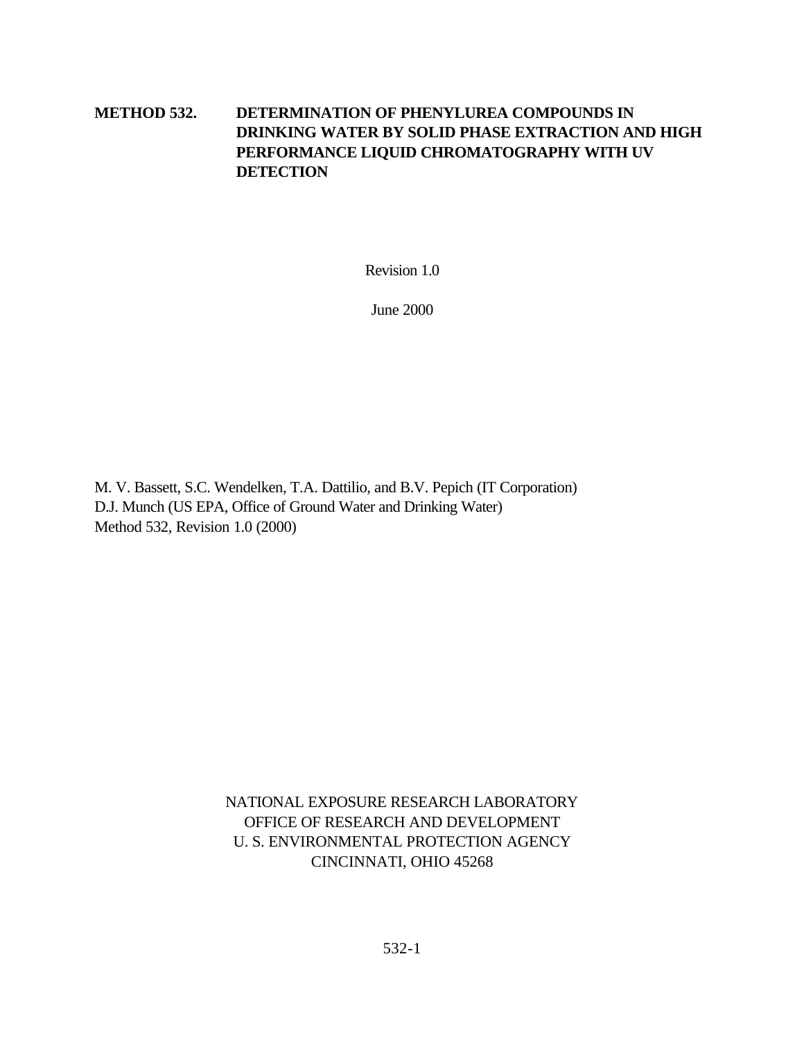# **METHOD 532. DETERMINATION OF PHENYLUREA COMPOUNDS IN DRINKING WATER BY SOLID PHASE EXTRACTION AND HIGH PERFORMANCE LIQUID CHROMATOGRAPHY WITH UV DETECTION**

Revision 1.0

June 2000

M. V. Bassett, S.C. Wendelken, T.A. Dattilio, and B.V. Pepich (IT Corporation) D.J. Munch (US EPA, Office of Ground Water and Drinking Water) Method 532, Revision 1.0 (2000)

> NATIONAL EXPOSURE RESEARCH LABORATORY OFFICE OF RESEARCH AND DEVELOPMENT U. S. ENVIRONMENTAL PROTECTION AGENCY CINCINNATI, OHIO 45268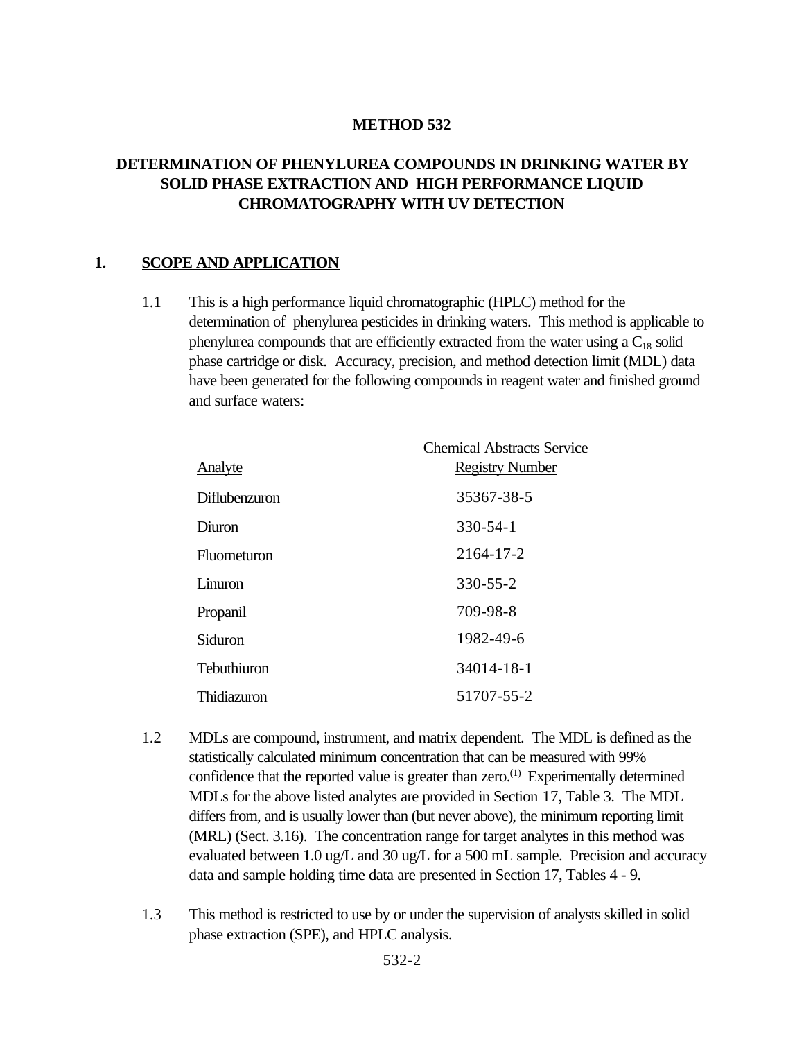#### **METHOD 532**

### **DETERMINATION OF PHENYLUREA COMPOUNDS IN DRINKING WATER BY SOLID PHASE EXTRACTION AND HIGH PERFORMANCE LIQUID CHROMATOGRAPHY WITH UV DETECTION**

#### **1. SCOPE AND APPLICATION**

1.1 This is a high performance liquid chromatographic (HPLC) method for the determination of phenylurea pesticides in drinking waters. This method is applicable to phenylurea compounds that are efficiently extracted from the water using a  $C_{18}$  solid phase cartridge or disk. Accuracy, precision, and method detection limit (MDL) data have been generated for the following compounds in reagent water and finished ground and surface waters:

| <u>Analyte</u>       | <b>Chemical Abstracts Service</b><br><b>Registry Number</b> |
|----------------------|-------------------------------------------------------------|
| <b>Diflubenzuron</b> | 35367-38-5                                                  |
| Diuron               | $330 - 54 - 1$                                              |
| Fluometuron          | 2164-17-2                                                   |
| Linuron              | $330 - 55 - 2$                                              |
| Propanil             | 709-98-8                                                    |
| Siduron              | 1982-49-6                                                   |
| Tebuthiuron          | 34014-18-1                                                  |
| Thidiazuron          | 51707-55-2                                                  |

- 1.2 MDLs are compound, instrument, and matrix dependent. The MDL is defined as the statistically calculated minimum concentration that can be measured with 99% confidence that the reported value is greater than zero.<sup>(1)</sup> Experimentally determined MDLs for the above listed analytes are provided in Section 17, Table 3. The MDL differs from, and is usually lower than (but never above), the minimum reporting limit (MRL) (Sect. 3.16). The concentration range for target analytes in this method was evaluated between 1.0 ug/L and 30 ug/L for a 500 mL sample. Precision and accuracy data and sample holding time data are presented in Section 17, Tables 4 - 9.
- 1.3 This method is restricted to use by or under the supervision of analysts skilled in solid phase extraction (SPE), and HPLC analysis.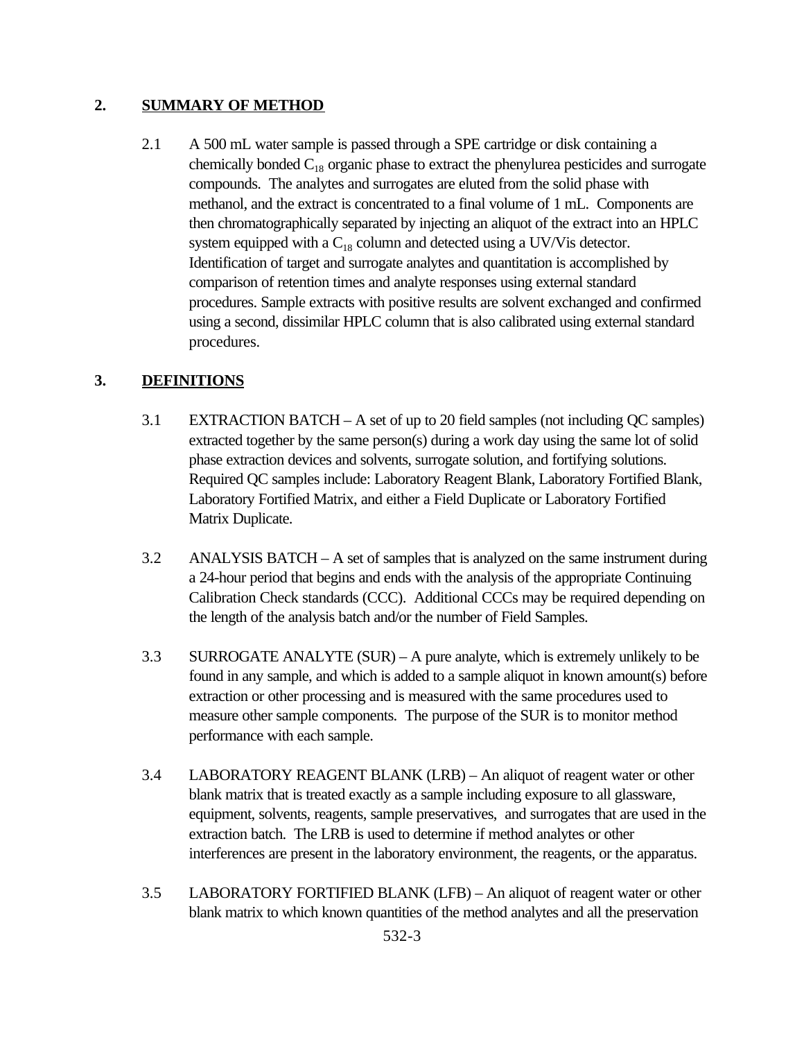### **2. SUMMARY OF METHOD**

2.1 A 500 mL water sample is passed through a SPE cartridge or disk containing a chemically bonded  $C_{18}$  organic phase to extract the phenylurea pesticides and surrogate compounds. The analytes and surrogates are eluted from the solid phase with methanol, and the extract is concentrated to a final volume of 1 mL. Components are then chromatographically separated by injecting an aliquot of the extract into an HPLC system equipped with a  $C_{18}$  column and detected using a UV/Vis detector. Identification of target and surrogate analytes and quantitation is accomplished by comparison of retention times and analyte responses using external standard procedures. Sample extracts with positive results are solvent exchanged and confirmed using a second, dissimilar HPLC column that is also calibrated using external standard procedures.

### **3. DEFINITIONS**

- 3.1 EXTRACTION BATCH A set of up to 20 field samples (not including QC samples) extracted together by the same person(s) during a work day using the same lot of solid phase extraction devices and solvents, surrogate solution, and fortifying solutions. Required QC samples include: Laboratory Reagent Blank, Laboratory Fortified Blank, Laboratory Fortified Matrix, and either a Field Duplicate or Laboratory Fortified Matrix Duplicate.
- 3.2 ANALYSIS BATCH A set of samples that is analyzed on the same instrument during a 24-hour period that begins and ends with the analysis of the appropriate Continuing Calibration Check standards (CCC). Additional CCCs may be required depending on the length of the analysis batch and/or the number of Field Samples.
- 3.3 SURROGATE ANALYTE (SUR) A pure analyte, which is extremely unlikely to be found in any sample, and which is added to a sample aliquot in known amount(s) before extraction or other processing and is measured with the same procedures used to measure other sample components. The purpose of the SUR is to monitor method performance with each sample.
- 3.4 LABORATORY REAGENT BLANK (LRB) An aliquot of reagent water or other blank matrix that is treated exactly as a sample including exposure to all glassware, equipment, solvents, reagents, sample preservatives, and surrogates that are used in the extraction batch. The LRB is used to determine if method analytes or other interferences are present in the laboratory environment, the reagents, or the apparatus.
- 3.5 LABORATORY FORTIFIED BLANK (LFB) An aliquot of reagent water or other blank matrix to which known quantities of the method analytes and all the preservation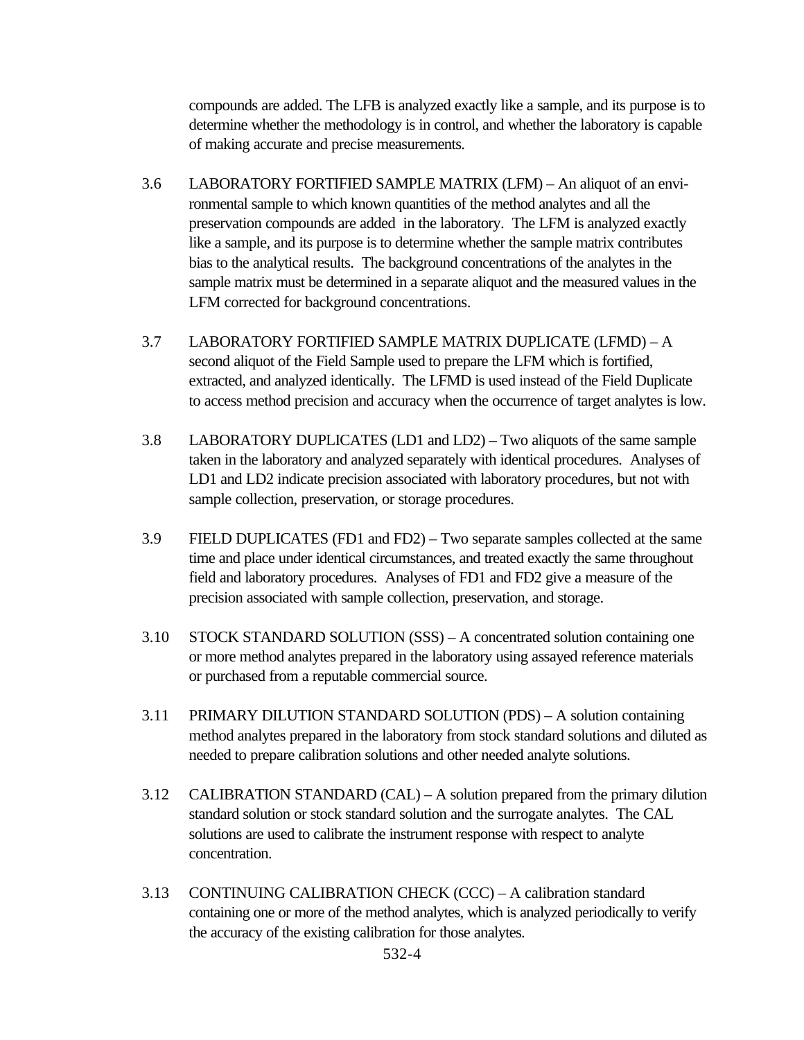compounds are added. The LFB is analyzed exactly like a sample, and its purpose is to determine whether the methodology is in control, and whether the laboratory is capable of making accurate and precise measurements.

- 3.6 LABORATORY FORTIFIED SAMPLE MATRIX (LFM) An aliquot of an environmental sample to which known quantities of the method analytes and all the preservation compounds are added in the laboratory. The LFM is analyzed exactly like a sample, and its purpose is to determine whether the sample matrix contributes bias to the analytical results. The background concentrations of the analytes in the sample matrix must be determined in a separate aliquot and the measured values in the LFM corrected for background concentrations.
- 3.7 LABORATORY FORTIFIED SAMPLE MATRIX DUPLICATE (LFMD) A second aliquot of the Field Sample used to prepare the LFM which is fortified, extracted, and analyzed identically. The LFMD is used instead of the Field Duplicate to access method precision and accuracy when the occurrence of target analytes is low.
- 3.8 LABORATORY DUPLICATES (LD1 and LD2) Two aliquots of the same sample taken in the laboratory and analyzed separately with identical procedures. Analyses of LD1 and LD2 indicate precision associated with laboratory procedures, but not with sample collection, preservation, or storage procedures.
- 3.9 FIELD DUPLICATES (FD1 and FD2) Two separate samples collected at the same time and place under identical circumstances, and treated exactly the same throughout field and laboratory procedures. Analyses of FD1 and FD2 give a measure of the precision associated with sample collection, preservation, and storage.
- 3.10 STOCK STANDARD SOLUTION (SSS) A concentrated solution containing one or more method analytes prepared in the laboratory using assayed reference materials or purchased from a reputable commercial source.
- 3.11 PRIMARY DILUTION STANDARD SOLUTION (PDS) A solution containing method analytes prepared in the laboratory from stock standard solutions and diluted as needed to prepare calibration solutions and other needed analyte solutions.
- 3.12 CALIBRATION STANDARD (CAL) A solution prepared from the primary dilution standard solution or stock standard solution and the surrogate analytes. The CAL solutions are used to calibrate the instrument response with respect to analyte concentration.
- 3.13 CONTINUING CALIBRATION CHECK (CCC) A calibration standard containing one or more of the method analytes, which is analyzed periodically to verify the accuracy of the existing calibration for those analytes.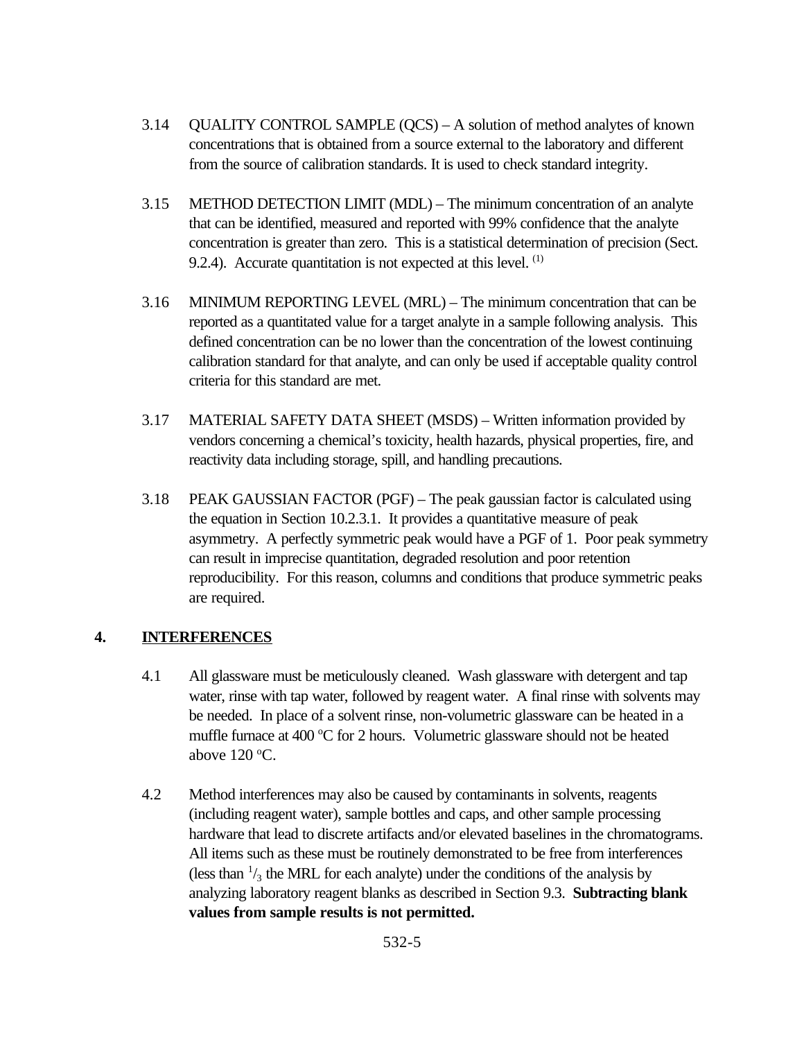- 3.14 QUALITY CONTROL SAMPLE (QCS) A solution of method analytes of known concentrations that is obtained from a source external to the laboratory and different from the source of calibration standards. It is used to check standard integrity.
- 3.15 METHOD DETECTION LIMIT (MDL) The minimum concentration of an analyte that can be identified, measured and reported with 99% confidence that the analyte concentration is greater than zero. This is a statistical determination of precision (Sect. 9.2.4). Accurate quantitation is not expected at this level.  $<sup>(1)</sup>$ </sup>
- 3.16 MINIMUM REPORTING LEVEL (MRL) The minimum concentration that can be reported as a quantitated value for a target analyte in a sample following analysis. This defined concentration can be no lower than the concentration of the lowest continuing calibration standard for that analyte, and can only be used if acceptable quality control criteria for this standard are met.
- 3.17 MATERIAL SAFETY DATA SHEET (MSDS) Written information provided by vendors concerning a chemical's toxicity, health hazards, physical properties, fire, and reactivity data including storage, spill, and handling precautions.
- 3.18 PEAK GAUSSIAN FACTOR (PGF) The peak gaussian factor is calculated using the equation in Section 10.2.3.1. It provides a quantitative measure of peak asymmetry. A perfectly symmetric peak would have a PGF of 1. Poor peak symmetry can result in imprecise quantitation, degraded resolution and poor retention reproducibility. For this reason, columns and conditions that produce symmetric peaks are required.

### **4. INTERFERENCES**

- 4.1 All glassware must be meticulously cleaned. Wash glassware with detergent and tap water, rinse with tap water, followed by reagent water. A final rinse with solvents may be needed. In place of a solvent rinse, non-volumetric glassware can be heated in a muffle furnace at 400  $\degree$ C for 2 hours. Volumetric glassware should not be heated above  $120^{\circ}$ C.
- 4.2 Method interferences may also be caused by contaminants in solvents, reagents (including reagent water), sample bottles and caps, and other sample processing hardware that lead to discrete artifacts and/or elevated baselines in the chromatograms. All items such as these must be routinely demonstrated to be free from interferences (less than  $\frac{1}{3}$  the MRL for each analyte) under the conditions of the analysis by analyzing laboratory reagent blanks as described in Section 9.3. **Subtracting blank values from sample results is not permitted.**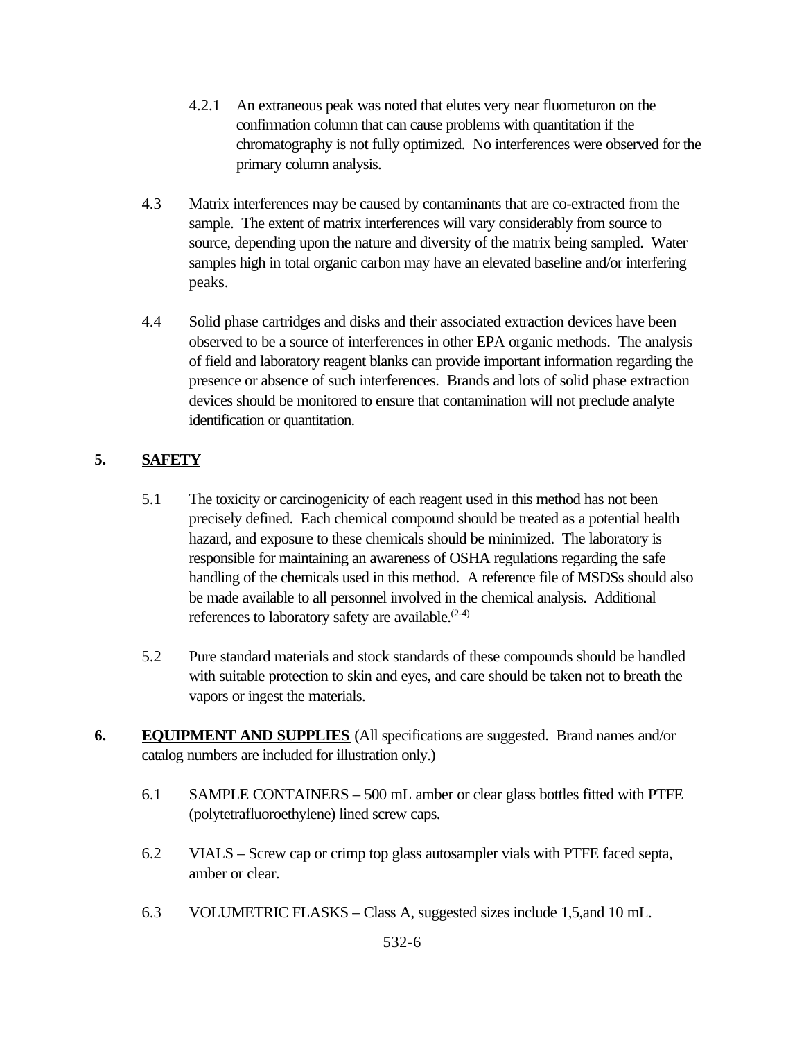- 4.2.1 An extraneous peak was noted that elutes very near fluometuron on the confirmation column that can cause problems with quantitation if the chromatography is not fully optimized. No interferences were observed for the primary column analysis.
- 4.3 Matrix interferences may be caused by contaminants that are co-extracted from the sample. The extent of matrix interferences will vary considerably from source to source, depending upon the nature and diversity of the matrix being sampled. Water samples high in total organic carbon may have an elevated baseline and/or interfering peaks.
- 4.4 Solid phase cartridges and disks and their associated extraction devices have been observed to be a source of interferences in other EPA organic methods. The analysis of field and laboratory reagent blanks can provide important information regarding the presence or absence of such interferences. Brands and lots of solid phase extraction devices should be monitored to ensure that contamination will not preclude analyte identification or quantitation.

# **5. SAFETY**

- 5.1 The toxicity or carcinogenicity of each reagent used in this method has not been precisely defined. Each chemical compound should be treated as a potential health hazard, and exposure to these chemicals should be minimized. The laboratory is responsible for maintaining an awareness of OSHA regulations regarding the safe handling of the chemicals used in this method. A reference file of MSDSs should also be made available to all personnel involved in the chemical analysis. Additional references to laboratory safety are available. $(2-4)$
- 5.2 Pure standard materials and stock standards of these compounds should be handled with suitable protection to skin and eyes, and care should be taken not to breath the vapors or ingest the materials.
- **6. EQUIPMENT AND SUPPLIES** (All specifications are suggested. Brand names and/or catalog numbers are included for illustration only.)
	- 6.1 SAMPLE CONTAINERS 500 mL amber or clear glass bottles fitted with PTFE (polytetrafluoroethylene) lined screw caps.
	- 6.2 VIALS Screw cap or crimp top glass autosampler vials with PTFE faced septa, amber or clear.
	- 6.3 VOLUMETRIC FLASKS Class A, suggested sizes include 1,5,and 10 mL.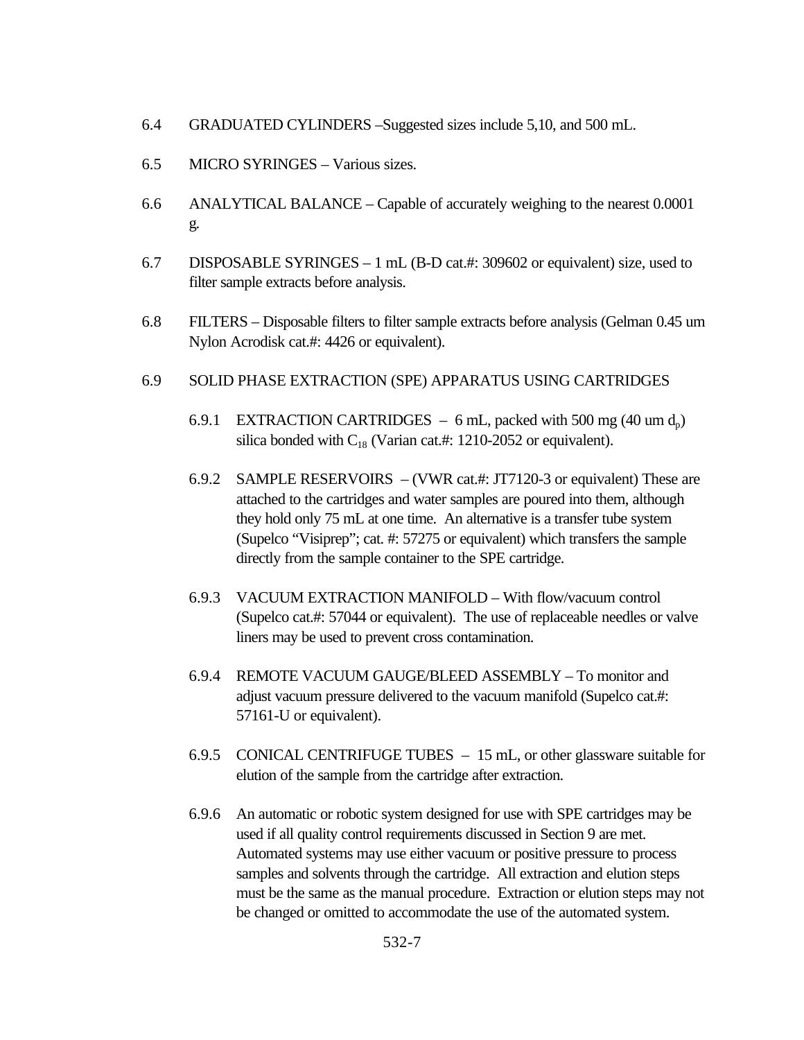- 6.4 GRADUATED CYLINDERS –Suggested sizes include 5,10, and 500 mL.
- 6.5 MICRO SYRINGES Various sizes.
- 6.6 ANALYTICAL BALANCE Capable of accurately weighing to the nearest 0.0001 g.
- 6.7 DISPOSABLE SYRINGES 1 mL (B-D cat.#: 309602 or equivalent) size, used to filter sample extracts before analysis.
- 6.8 FILTERS Disposable filters to filter sample extracts before analysis (Gelman 0.45 um Nylon Acrodisk cat.#: 4426 or equivalent).

#### 6.9 SOLID PHASE EXTRACTION (SPE) APPARATUS USING CARTRIDGES

- 6.9.1 EXTRACTION CARTRIDGES 6 mL, packed with 500 mg (40 um  $d_p$ ) silica bonded with  $C_{18}$  (Varian cat.#: 1210-2052 or equivalent).
- 6.9.2 SAMPLE RESERVOIRS (VWR cat.#: JT7120-3 or equivalent) These are attached to the cartridges and water samples are poured into them, although they hold only 75 mL at one time. An alternative is a transfer tube system (Supelco "Visiprep"; cat. #: 57275 or equivalent) which transfers the sample directly from the sample container to the SPE cartridge.
- 6.9.3 VACUUM EXTRACTION MANIFOLD With flow/vacuum control (Supelco cat.#: 57044 or equivalent). The use of replaceable needles or valve liners may be used to prevent cross contamination.
- 6.9.4 REMOTE VACUUM GAUGE/BLEED ASSEMBLY To monitor and adjust vacuum pressure delivered to the vacuum manifold (Supelco cat.#: 57161-U or equivalent).
- 6.9.5 CONICAL CENTRIFUGE TUBES 15 mL, or other glassware suitable for elution of the sample from the cartridge after extraction.
- 6.9.6 An automatic or robotic system designed for use with SPE cartridges may be used if all quality control requirements discussed in Section 9 are met. Automated systems may use either vacuum or positive pressure to process samples and solvents through the cartridge. All extraction and elution steps must be the same as the manual procedure. Extraction or elution steps may not be changed or omitted to accommodate the use of the automated system.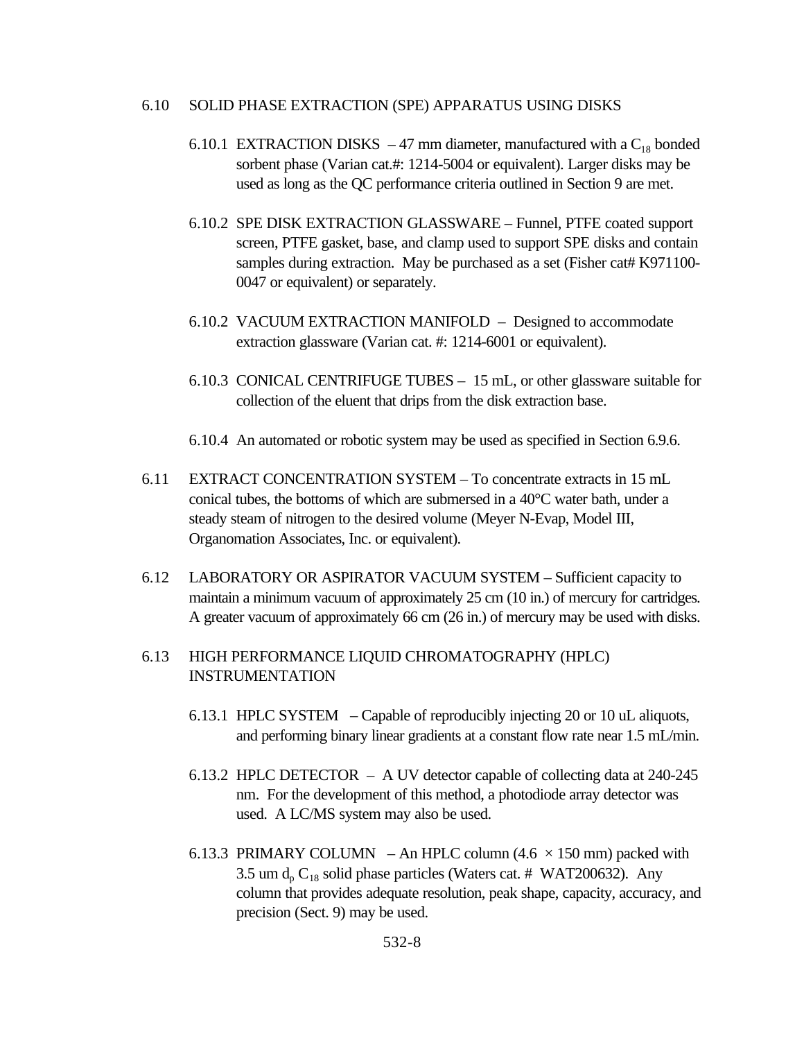#### 6.10 SOLID PHASE EXTRACTION (SPE) APPARATUS USING DISKS

- 6.10.1 EXTRACTION DISKS  $-47$  mm diameter, manufactured with a C<sub>18</sub> bonded sorbent phase (Varian cat.#: 1214-5004 or equivalent). Larger disks may be used as long as the QC performance criteria outlined in Section 9 are met.
- 6.10.2 SPE DISK EXTRACTION GLASSWARE Funnel, PTFE coated support screen, PTFE gasket, base, and clamp used to support SPE disks and contain samples during extraction. May be purchased as a set (Fisher cat# K971100-0047 or equivalent) or separately.
- 6.10.2 VACUUM EXTRACTION MANIFOLD Designed to accommodate extraction glassware (Varian cat. #: 1214-6001 or equivalent).
- 6.10.3 CONICAL CENTRIFUGE TUBES 15 mL, or other glassware suitable for collection of the eluent that drips from the disk extraction base.
- 6.10.4 An automated or robotic system may be used as specified in Section 6.9.6.
- 6.11 EXTRACT CONCENTRATION SYSTEM To concentrate extracts in 15 mL conical tubes, the bottoms of which are submersed in a 40°C water bath, under a steady steam of nitrogen to the desired volume (Meyer N-Evap, Model III, Organomation Associates, Inc. or equivalent).
- 6.12 LABORATORY OR ASPIRATOR VACUUM SYSTEM Sufficient capacity to maintain a minimum vacuum of approximately 25 cm (10 in.) of mercury for cartridges. A greater vacuum of approximately 66 cm (26 in.) of mercury may be used with disks.

### 6.13 HIGH PERFORMANCE LIQUID CHROMATOGRAPHY (HPLC) INSTRUMENTATION

- 6.13.1 HPLC SYSTEM Capable of reproducibly injecting 20 or 10 uL aliquots, and performing binary linear gradients at a constant flow rate near 1.5 mL/min.
- 6.13.2 HPLC DETECTOR A UV detector capable of collecting data at 240-245 nm. For the development of this method, a photodiode array detector was used. A LC/MS system may also be used.
- 6.13.3 PRIMARY COLUMN An HPLC column  $(4.6 \times 150 \text{ mm})$  packed with 3.5 um  $d_p C_{18}$  solid phase particles (Waters cat. # WAT200632). Any column that provides adequate resolution, peak shape, capacity, accuracy, and precision (Sect. 9) may be used.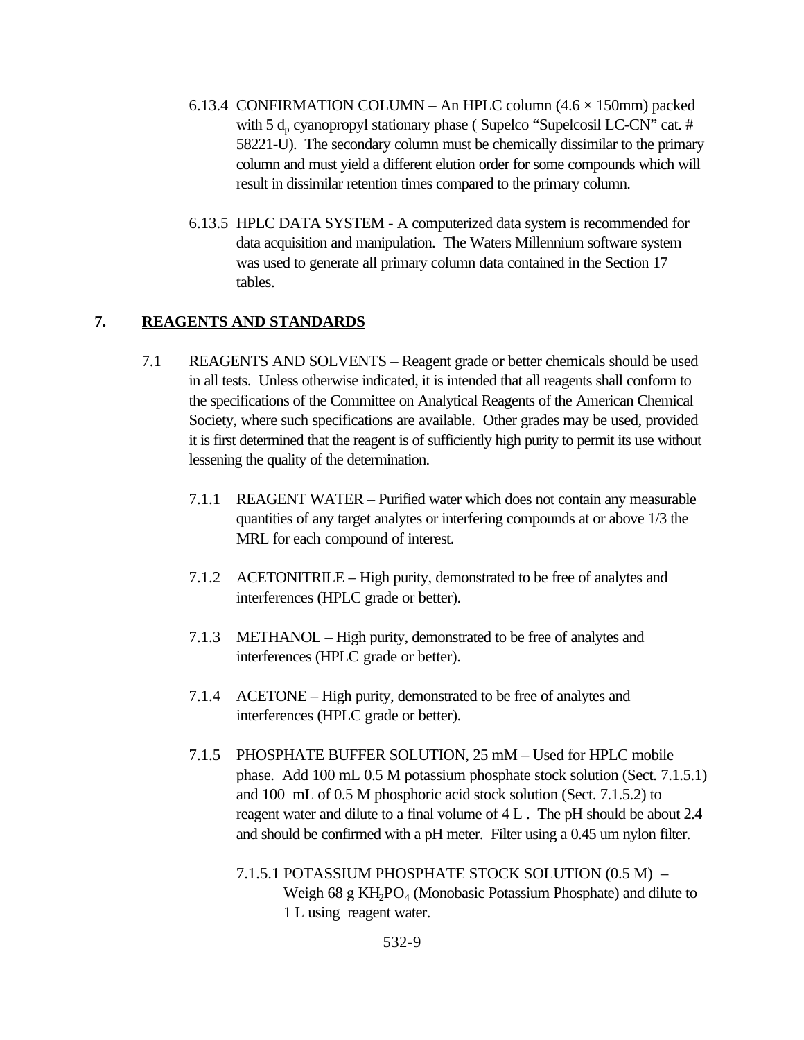- 6.13.4 CONFIRMATION COLUMN An HPLC column  $(4.6 \times 150)$ mm) packed with 5  $d_p$  cyanopropyl stationary phase (Supelco "Supelcosil LC-CN" cat. # 58221-U). The secondary column must be chemically dissimilar to the primary column and must yield a different elution order for some compounds which will result in dissimilar retention times compared to the primary column.
- 6.13.5 HPLC DATA SYSTEM A computerized data system is recommended for data acquisition and manipulation. The Waters Millennium software system was used to generate all primary column data contained in the Section 17 tables.

### **7. REAGENTS AND STANDARDS**

- 7.1 REAGENTS AND SOLVENTS Reagent grade or better chemicals should be used in all tests. Unless otherwise indicated, it is intended that all reagents shall conform to the specifications of the Committee on Analytical Reagents of the American Chemical Society, where such specifications are available. Other grades may be used, provided it is first determined that the reagent is of sufficiently high purity to permit its use without lessening the quality of the determination.
	- 7.1.1 REAGENT WATER Purified water which does not contain any measurable quantities of any target analytes or interfering compounds at or above 1/3 the MRL for each compound of interest.
	- 7.1.2 ACETONITRILE High purity, demonstrated to be free of analytes and interferences (HPLC grade or better).
	- 7.1.3 METHANOL High purity, demonstrated to be free of analytes and interferences (HPLC grade or better).
	- 7.1.4 ACETONE High purity, demonstrated to be free of analytes and interferences (HPLC grade or better).
	- 7.1.5 PHOSPHATE BUFFER SOLUTION, 25 mM Used for HPLC mobile phase. Add 100 mL 0.5 M potassium phosphate stock solution (Sect. 7.1.5.1) and 100 mL of 0.5 M phosphoric acid stock solution (Sect. 7.1.5.2) to reagent water and dilute to a final volume of 4 L . The pH should be about 2.4 and should be confirmed with a pH meter. Filter using a 0.45 um nylon filter.
		- 7.1.5.1 POTASSIUM PHOSPHATE STOCK SOLUTION (0.5 M) Weigh  $68 \text{ g } KH_2PO_4$  (Monobasic Potassium Phosphate) and dilute to 1 L using reagent water.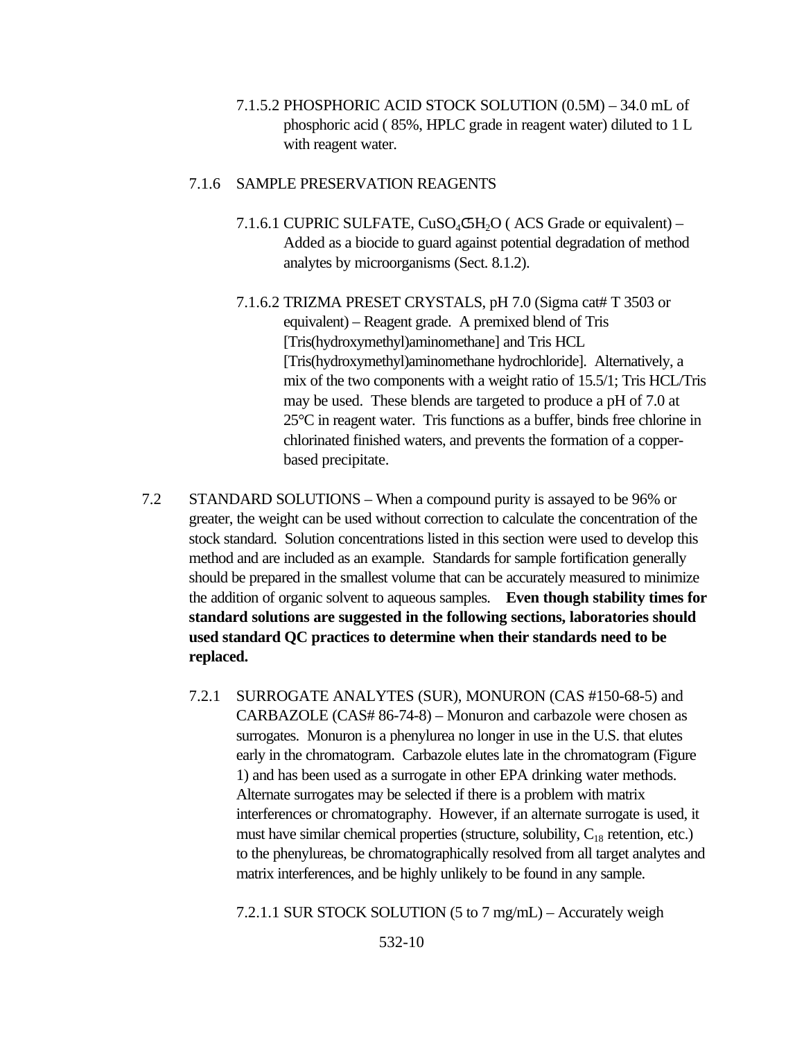7.1.5.2 PHOSPHORIC ACID STOCK SOLUTION (0.5M) – 34.0 mL of phosphoric acid ( 85%, HPLC grade in reagent water) diluted to 1 L with reagent water.

#### 7.1.6 SAMPLE PRESERVATION REAGENTS

- 7.1.6.1 CUPRIC SULFATE,  $CuSO_4C5H_2O$  (ACS Grade or equivalent) Added as a biocide to guard against potential degradation of method analytes by microorganisms (Sect. 8.1.2).
- 7.1.6.2 TRIZMA PRESET CRYSTALS, pH 7.0 (Sigma cat# T 3503 or equivalent) – Reagent grade. A premixed blend of Tris [Tris(hydroxymethyl)aminomethane] and Tris HCL [Tris(hydroxymethyl)aminomethane hydrochloride]. Alternatively, a mix of the two components with a weight ratio of 15.5/1; Tris HCL/Tris may be used. These blends are targeted to produce a pH of 7.0 at 25°C in reagent water. Tris functions as a buffer, binds free chlorine in chlorinated finished waters, and prevents the formation of a copperbased precipitate.
- 7.2 STANDARD SOLUTIONS When a compound purity is assayed to be 96% or greater, the weight can be used without correction to calculate the concentration of the stock standard. Solution concentrations listed in this section were used to develop this method and are included as an example. Standards for sample fortification generally should be prepared in the smallest volume that can be accurately measured to minimize the addition of organic solvent to aqueous samples. **Even though stability times for standard solutions are suggested in the following sections, laboratories should used standard QC practices to determine when their standards need to be replaced.**
	- 7.2.1 SURROGATE ANALYTES (SUR), MONURON (CAS #150-68-5) and CARBAZOLE (CAS# 86-74-8) – Monuron and carbazole were chosen as surrogates. Monuron is a phenylurea no longer in use in the U.S. that elutes early in the chromatogram. Carbazole elutes late in the chromatogram (Figure 1) and has been used as a surrogate in other EPA drinking water methods. Alternate surrogates may be selected if there is a problem with matrix interferences or chromatography. However, if an alternate surrogate is used, it must have similar chemical properties (structure, solubility,  $C_{18}$  retention, etc.) to the phenylureas, be chromatographically resolved from all target analytes and matrix interferences, and be highly unlikely to be found in any sample.

7.2.1.1 SUR STOCK SOLUTION (5 to 7 mg/mL) – Accurately weigh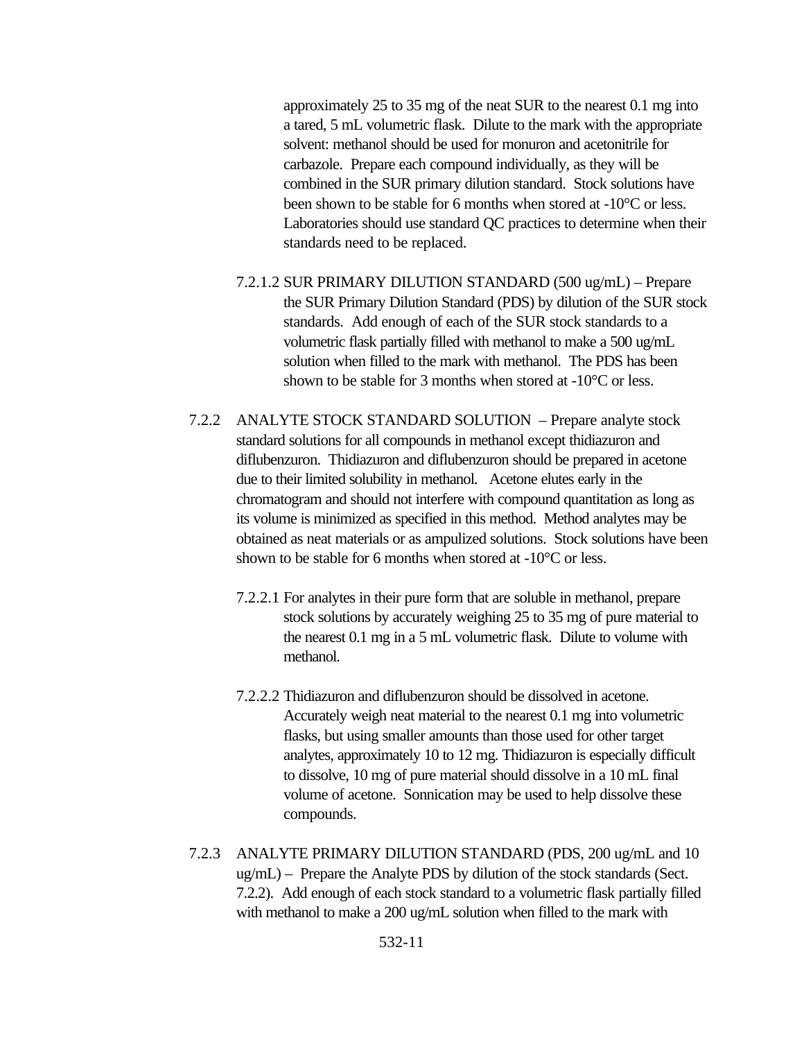approximately 25 to 35 mg of the neat SUR to the nearest 0.1 mg into a tared, 5 mL volumetric flask. Dilute to the mark with the appropriate solvent: methanol should be used for monuron and acetonitrile for carbazole. Prepare each compound individually, as they will be combined in the SUR primary dilution standard. Stock solutions have been shown to be stable for 6 months when stored at -10°C or less. Laboratories should use standard QC practices to determine when their standards need to be replaced.

- 7.2.1.2 SUR PRIMARY DILUTION STANDARD (500 ug/mL) Prepare the SUR Primary Dilution Standard (PDS) by dilution of the SUR stock standards. Add enough of each of the SUR stock standards to a volumetric flask partially filled with methanol to make a 500 ug/mL solution when filled to the mark with methanol. The PDS has been shown to be stable for 3 months when stored at -10°C or less.
- 7.2.2 ANALYTE STOCK STANDARD SOLUTION Prepare analyte stock standard solutions for all compounds in methanol except thidiazuron and diflubenzuron. Thidiazuron and diflubenzuron should be prepared in acetone due to their limited solubility in methanol. Acetone elutes early in the chromatogram and should not interfere with compound quantitation as long as its volume is minimized as specified in this method. Method analytes may be obtained as neat materials or as ampulized solutions. Stock solutions have been shown to be stable for 6 months when stored at -10°C or less.
	- 7.2.2.1 For analytes in their pure form that are soluble in methanol, prepare stock solutions by accurately weighing 25 to 35 mg of pure material to the nearest 0.1 mg in a 5 mL volumetric flask. Dilute to volume with methanol.
	- 7.2.2.2 Thidiazuron and diflubenzuron should be dissolved in acetone. Accurately weigh neat material to the nearest 0.1 mg into volumetric flasks, but using smaller amounts than those used for other target analytes, approximately 10 to 12 mg. Thidiazuron is especially difficult to dissolve, 10 mg of pure material should dissolve in a 10 mL final volume of acetone. Sonnication may be used to help dissolve these compounds.
- 7.2.3 ANALYTE PRIMARY DILUTION STANDARD (PDS, 200 ug/mL and 10 ug/mL) – Prepare the Analyte PDS by dilution of the stock standards (Sect. 7.2.2). Add enough of each stock standard to a volumetric flask partially filled with methanol to make a 200 ug/mL solution when filled to the mark with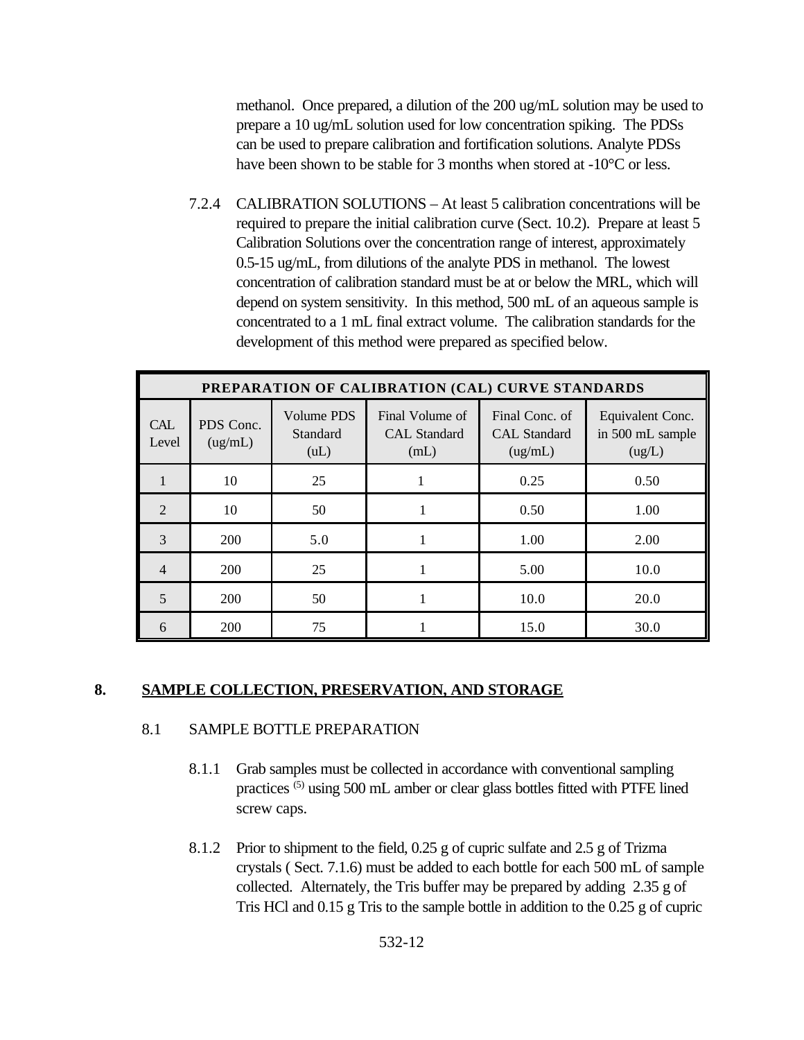methanol. Once prepared, a dilution of the 200 ug/mL solution may be used to prepare a 10 ug/mL solution used for low concentration spiking. The PDSs can be used to prepare calibration and fortification solutions. Analyte PDSs have been shown to be stable for 3 months when stored at -10<sup>o</sup>C or less.

7.2.4 CALIBRATION SOLUTIONS – At least 5 calibration concentrations will be required to prepare the initial calibration curve (Sect. 10.2). Prepare at least 5 Calibration Solutions over the concentration range of interest, approximately 0.5-15 ug/mL, from dilutions of the analyte PDS in methanol. The lowest concentration of calibration standard must be at or below the MRL, which will depend on system sensitivity. In this method, 500 mL of an aqueous sample is concentrated to a 1 mL final extract volume. The calibration standards for the development of this method were prepared as specified below.

|                             | PREPARATION OF CALIBRATION (CAL) CURVE STANDARDS |                                |                                                |                                                  |                                                |  |  |
|-----------------------------|--------------------------------------------------|--------------------------------|------------------------------------------------|--------------------------------------------------|------------------------------------------------|--|--|
| <b>CAL</b><br>Level         | PDS Conc.<br>(ug/mL)                             | Volume PDS<br>Standard<br>(uL) | Final Volume of<br><b>CAL</b> Standard<br>(mL) | Final Conc. of<br><b>CAL</b> Standard<br>(ug/mL) | Equivalent Conc.<br>in 500 mL sample<br>(ug/L) |  |  |
|                             | 10                                               | 25                             |                                                | 0.25                                             | 0.50                                           |  |  |
| $\mathcal{D}_{\mathcal{L}}$ | 10                                               | 50                             |                                                | 0.50                                             | 1.00                                           |  |  |
| 3                           | <b>200</b>                                       | 5.0                            |                                                | 1.00                                             | 2.00                                           |  |  |
| 4                           | <b>200</b>                                       | 25                             |                                                | 5.00                                             | 10.0                                           |  |  |
| 5                           | <b>200</b>                                       | 50                             |                                                | 10.0                                             | 20.0                                           |  |  |
| 6                           | 200                                              | 75                             |                                                | 15.0                                             | 30.0                                           |  |  |

#### **8. SAMPLE COLLECTION, PRESERVATION, AND STORAGE**

#### 8.1 SAMPLE BOTTLE PREPARATION

- 8.1.1 Grab samples must be collected in accordance with conventional sampling practices (5) using 500 mL amber or clear glass bottles fitted with PTFE lined screw caps.
- 8.1.2 Prior to shipment to the field, 0.25 g of cupric sulfate and 2.5 g of Trizma crystals ( Sect. 7.1.6) must be added to each bottle for each 500 mL of sample collected. Alternately, the Tris buffer may be prepared by adding 2.35 g of Tris HCl and 0.15 g Tris to the sample bottle in addition to the 0.25 g of cupric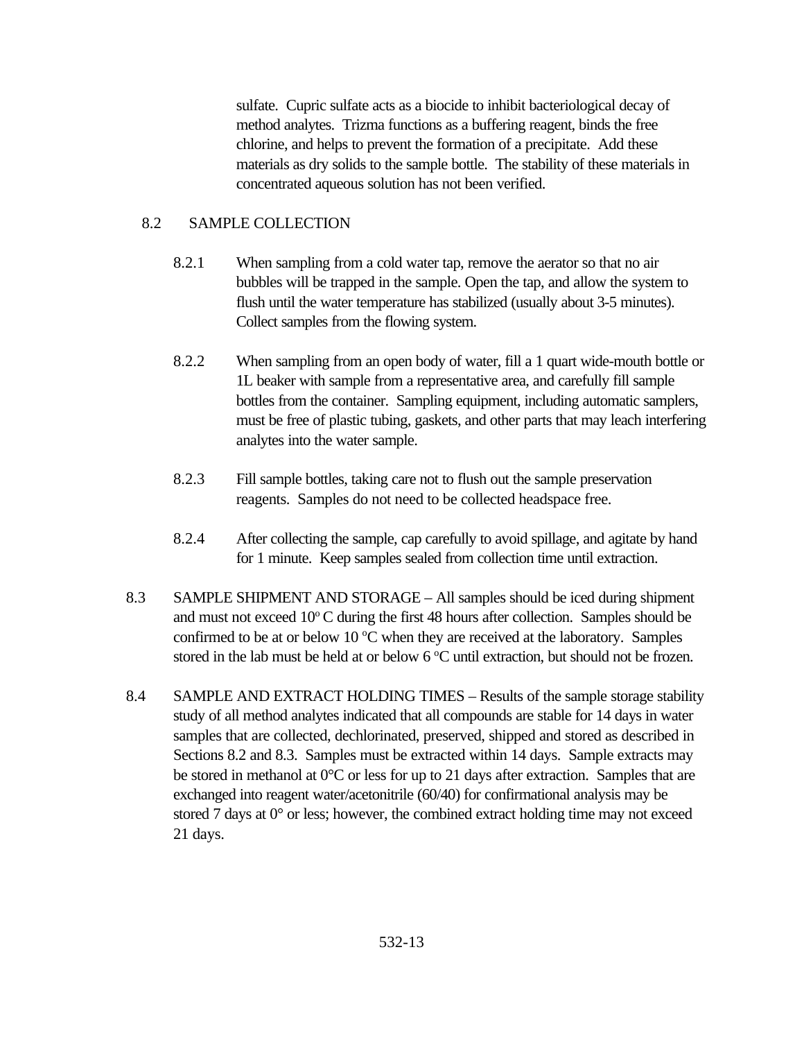sulfate. Cupric sulfate acts as a biocide to inhibit bacteriological decay of method analytes. Trizma functions as a buffering reagent, binds the free chlorine, and helps to prevent the formation of a precipitate. Add these materials as dry solids to the sample bottle. The stability of these materials in concentrated aqueous solution has not been verified.

### 8.2 SAMPLE COLLECTION

- 8.2.1 When sampling from a cold water tap, remove the aerator so that no air bubbles will be trapped in the sample. Open the tap, and allow the system to flush until the water temperature has stabilized (usually about 3-5 minutes). Collect samples from the flowing system.
- 8.2.2 When sampling from an open body of water, fill a 1 quart wide-mouth bottle or 1L beaker with sample from a representative area, and carefully fill sample bottles from the container. Sampling equipment, including automatic samplers, must be free of plastic tubing, gaskets, and other parts that may leach interfering analytes into the water sample.
- 8.2.3 Fill sample bottles, taking care not to flush out the sample preservation reagents. Samples do not need to be collected headspace free.
- 8.2.4 After collecting the sample, cap carefully to avoid spillage, and agitate by hand for 1 minute. Keep samples sealed from collection time until extraction.
- 8.3 SAMPLE SHIPMENT AND STORAGE All samples should be iced during shipment and must not exceed  $10^{\circ}$ C during the first 48 hours after collection. Samples should be confirmed to be at or below 10  $\degree$ C when they are received at the laboratory. Samples stored in the lab must be held at or below  $6^{\circ}$ C until extraction, but should not be frozen.
- 8.4 SAMPLE AND EXTRACT HOLDING TIMES Results of the sample storage stability study of all method analytes indicated that all compounds are stable for 14 days in water samples that are collected, dechlorinated, preserved, shipped and stored as described in Sections 8.2 and 8.3. Samples must be extracted within 14 days. Sample extracts may be stored in methanol at  $0^{\circ}$ C or less for up to 21 days after extraction. Samples that are exchanged into reagent water/acetonitrile (60/40) for confirmational analysis may be stored 7 days at  $0^{\circ}$  or less; however, the combined extract holding time may not exceed 21 days.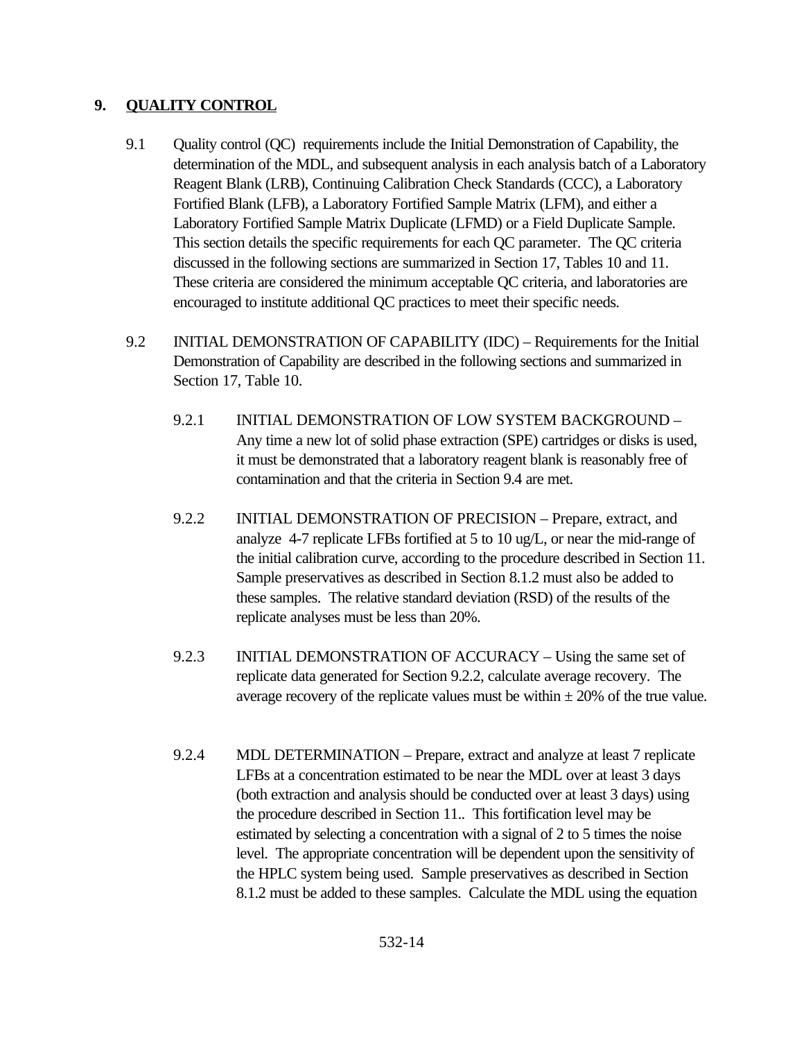### **9. QUALITY CONTROL**

- 9.1 Quality control (QC) requirements include the Initial Demonstration of Capability, the determination of the MDL, and subsequent analysis in each analysis batch of a Laboratory Reagent Blank (LRB), Continuing Calibration Check Standards (CCC), a Laboratory Fortified Blank (LFB), a Laboratory Fortified Sample Matrix (LFM), and either a Laboratory Fortified Sample Matrix Duplicate (LFMD) or a Field Duplicate Sample. This section details the specific requirements for each QC parameter. The QC criteria discussed in the following sections are summarized in Section 17, Tables 10 and 11. These criteria are considered the minimum acceptable QC criteria, and laboratories are encouraged to institute additional QC practices to meet their specific needs.
- 9.2 INITIAL DEMONSTRATION OF CAPABILITY (IDC) Requirements for the Initial Demonstration of Capability are described in the following sections and summarized in Section 17, Table 10.
	- 9.2.1 INITIAL DEMONSTRATION OF LOW SYSTEM BACKGROUND Any time a new lot of solid phase extraction (SPE) cartridges or disks is used, it must be demonstrated that a laboratory reagent blank is reasonably free of contamination and that the criteria in Section 9.4 are met.
	- 9.2.2 INITIAL DEMONSTRATION OF PRECISION Prepare, extract, and analyze 4-7 replicate LFBs fortified at 5 to 10 ug/L, or near the mid-range of the initial calibration curve, according to the procedure described in Section 11. Sample preservatives as described in Section 8.1.2 must also be added to these samples. The relative standard deviation (RSD) of the results of the replicate analyses must be less than 20%.
	- 9.2.3 INITIAL DEMONSTRATION OF ACCURACY Using the same set of replicate data generated for Section 9.2.2, calculate average recovery. The average recovery of the replicate values must be within  $\pm 20\%$  of the true value.
	- 9.2.4 MDL DETERMINATION Prepare, extract and analyze at least 7 replicate LFBs at a concentration estimated to be near the MDL over at least 3 days (both extraction and analysis should be conducted over at least 3 days) using the procedure described in Section 11.. This fortification level may be estimated by selecting a concentration with a signal of 2 to 5 times the noise level. The appropriate concentration will be dependent upon the sensitivity of the HPLC system being used. Sample preservatives as described in Section 8.1.2 must be added to these samples. Calculate the MDL using the equation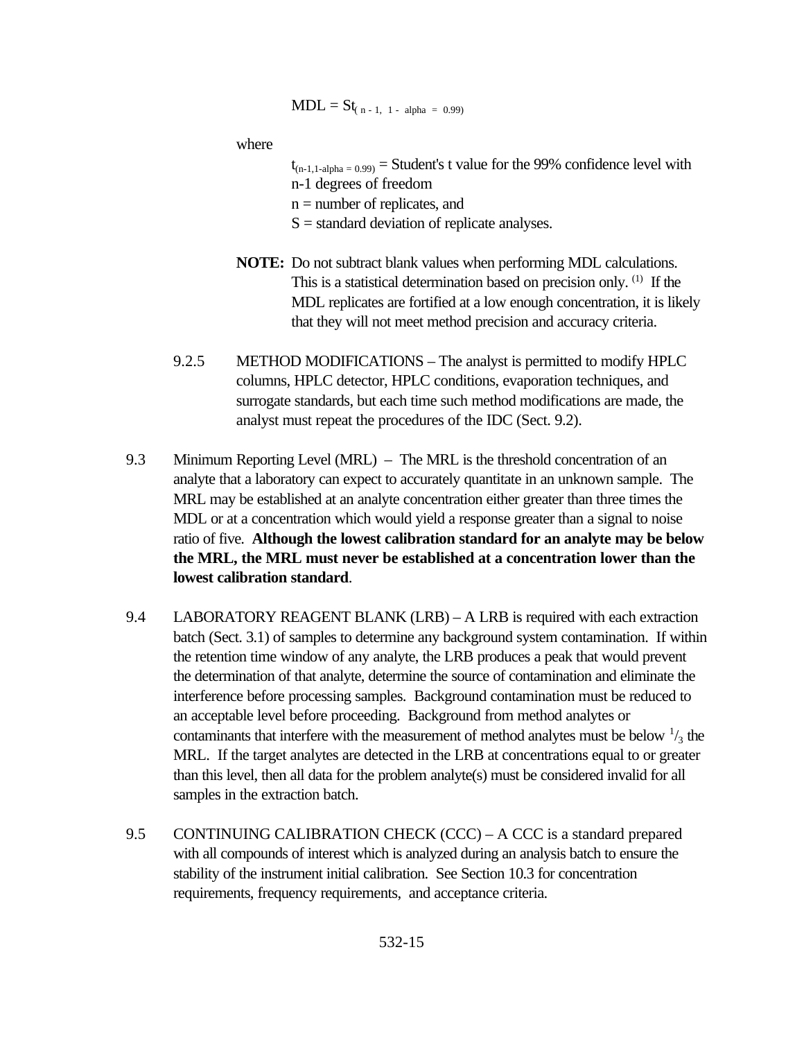$$
MDL = St_{(n-1, 1 - alpha = 0.99)}
$$

where

- $t_{(n-1,1-alpha)} =$  Student's t value for the 99% confidence level with n-1 degrees of freedom  $n =$  number of replicates, and
- $S =$  standard deviation of replicate analyses.
- **NOTE:** Do not subtract blank values when performing MDL calculations. This is a statistical determination based on precision only. (1) If the MDL replicates are fortified at a low enough concentration, it is likely that they will not meet method precision and accuracy criteria.
- 9.2.5 METHOD MODIFICATIONS The analyst is permitted to modify HPLC columns, HPLC detector, HPLC conditions, evaporation techniques, and surrogate standards, but each time such method modifications are made, the analyst must repeat the procedures of the IDC (Sect. 9.2).
- 9.3 Minimum Reporting Level (MRL) The MRL is the threshold concentration of an analyte that a laboratory can expect to accurately quantitate in an unknown sample. The MRL may be established at an analyte concentration either greater than three times the MDL or at a concentration which would yield a response greater than a signal to noise ratio of five. **Although the lowest calibration standard for an analyte may be below the MRL, the MRL must never be established at a concentration lower than the lowest calibration standard**.
- 9.4 LABORATORY REAGENT BLANK (LRB) A LRB is required with each extraction batch (Sect. 3.1) of samples to determine any background system contamination. If within the retention time window of any analyte, the LRB produces a peak that would prevent the determination of that analyte, determine the source of contamination and eliminate the interference before processing samples. Background contamination must be reduced to an acceptable level before proceeding. Background from method analytes or contaminants that interfere with the measurement of method analytes must be below  $\frac{1}{3}$  the MRL. If the target analytes are detected in the LRB at concentrations equal to or greater than this level, then all data for the problem analyte(s) must be considered invalid for all samples in the extraction batch.
- 9.5 CONTINUING CALIBRATION CHECK (CCC) A CCC is a standard prepared with all compounds of interest which is analyzed during an analysis batch to ensure the stability of the instrument initial calibration. See Section 10.3 for concentration requirements, frequency requirements, and acceptance criteria.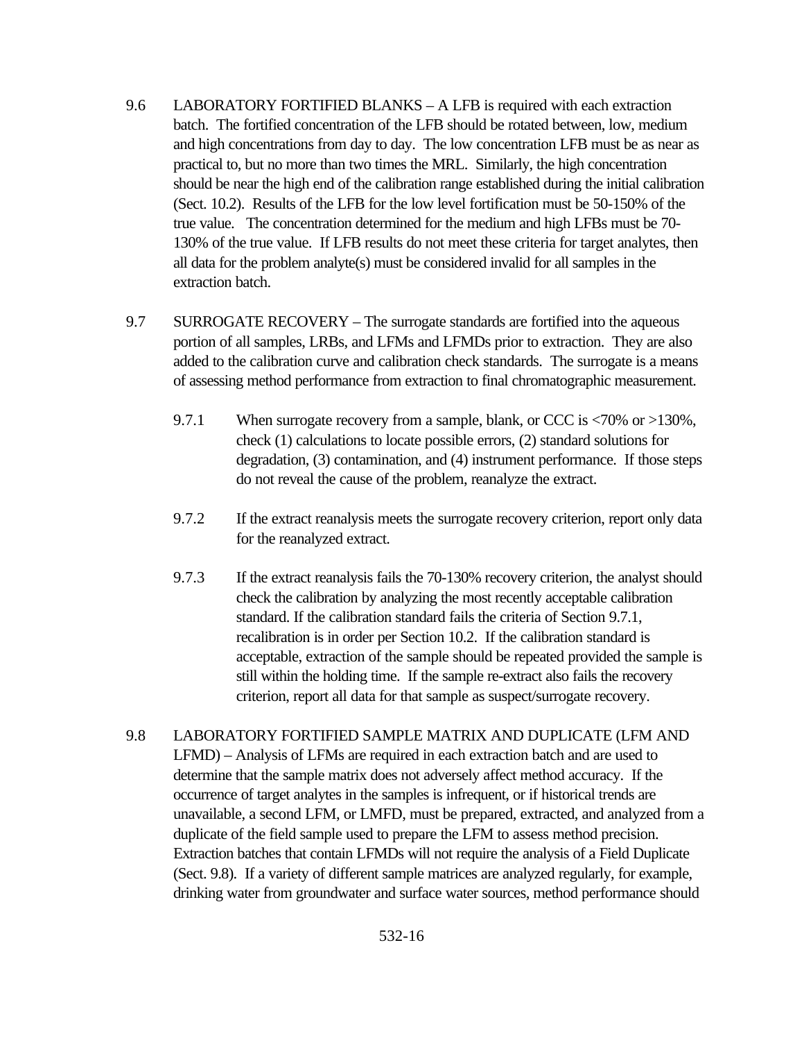- 9.6 LABORATORY FORTIFIED BLANKS A LFB is required with each extraction batch. The fortified concentration of the LFB should be rotated between, low, medium and high concentrations from day to day. The low concentration LFB must be as near as practical to, but no more than two times the MRL. Similarly, the high concentration should be near the high end of the calibration range established during the initial calibration (Sect. 10.2). Results of the LFB for the low level fortification must be 50-150% of the true value. The concentration determined for the medium and high LFBs must be 70- 130% of the true value. If LFB results do not meet these criteria for target analytes, then all data for the problem analyte(s) must be considered invalid for all samples in the extraction batch.
- 9.7 SURROGATE RECOVERY The surrogate standards are fortified into the aqueous portion of all samples, LRBs, and LFMs and LFMDs prior to extraction. They are also added to the calibration curve and calibration check standards. The surrogate is a means of assessing method performance from extraction to final chromatographic measurement.
	- 9.7.1 When surrogate recovery from a sample, blank, or CCC is <70% or >130%, check (1) calculations to locate possible errors, (2) standard solutions for degradation, (3) contamination, and (4) instrument performance. If those steps do not reveal the cause of the problem, reanalyze the extract.
	- 9.7.2 If the extract reanalysis meets the surrogate recovery criterion, report only data for the reanalyzed extract.
	- 9.7.3 If the extract reanalysis fails the 70-130% recovery criterion, the analyst should check the calibration by analyzing the most recently acceptable calibration standard. If the calibration standard fails the criteria of Section 9.7.1, recalibration is in order per Section 10.2. If the calibration standard is acceptable, extraction of the sample should be repeated provided the sample is still within the holding time. If the sample re-extract also fails the recovery criterion, report all data for that sample as suspect/surrogate recovery.
- 9.8 LABORATORY FORTIFIED SAMPLE MATRIX AND DUPLICATE (LFM AND LFMD) – Analysis of LFMs are required in each extraction batch and are used to determine that the sample matrix does not adversely affect method accuracy. If the occurrence of target analytes in the samples is infrequent, or if historical trends are unavailable, a second LFM, or LMFD, must be prepared, extracted, and analyzed from a duplicate of the field sample used to prepare the LFM to assess method precision. Extraction batches that contain LFMDs will not require the analysis of a Field Duplicate (Sect. 9.8). If a variety of different sample matrices are analyzed regularly, for example, drinking water from groundwater and surface water sources, method performance should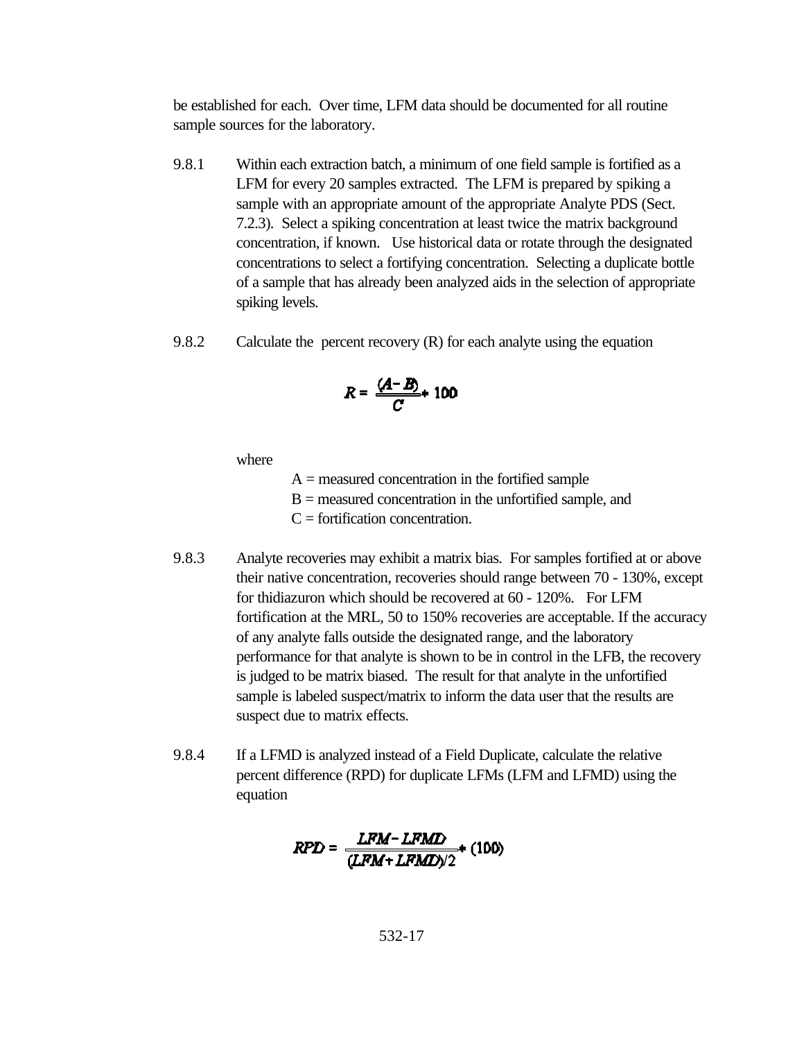be established for each. Over time, LFM data should be documented for all routine sample sources for the laboratory.

- 9.8.1 Within each extraction batch, a minimum of one field sample is fortified as a LFM for every 20 samples extracted. The LFM is prepared by spiking a sample with an appropriate amount of the appropriate Analyte PDS (Sect. 7.2.3). Select a spiking concentration at least twice the matrix background concentration, if known. Use historical data or rotate through the designated concentrations to select a fortifying concentration. Selecting a duplicate bottle of a sample that has already been analyzed aids in the selection of appropriate spiking levels.
- 9.8.2 Calculate the percent recovery (R) for each analyte using the equation

$$
R=\frac{(A-B)}{C}+100
$$

where

 $A =$  measured concentration in the fortified sample

B = measured concentration in the unfortified sample, and

 $C =$  fortification concentration.

- 9.8.3 Analyte recoveries may exhibit a matrix bias. For samples fortified at or above their native concentration, recoveries should range between 70 - 130%, except for thidiazuron which should be recovered at 60 - 120%. For LFM fortification at the MRL, 50 to 150% recoveries are acceptable. If the accuracy of any analyte falls outside the designated range, and the laboratory performance for that analyte is shown to be in control in the LFB, the recovery is judged to be matrix biased. The result for that analyte in the unfortified sample is labeled suspect/matrix to inform the data user that the results are suspect due to matrix effects.
- 9.8.4 If a LFMD is analyzed instead of a Field Duplicate, calculate the relative percent difference (RPD) for duplicate LFMs (LFM and LFMD) using the equation

$$
RPD = \frac{LFM - LFMD}{(LFM + LFMD)/2} * (100)
$$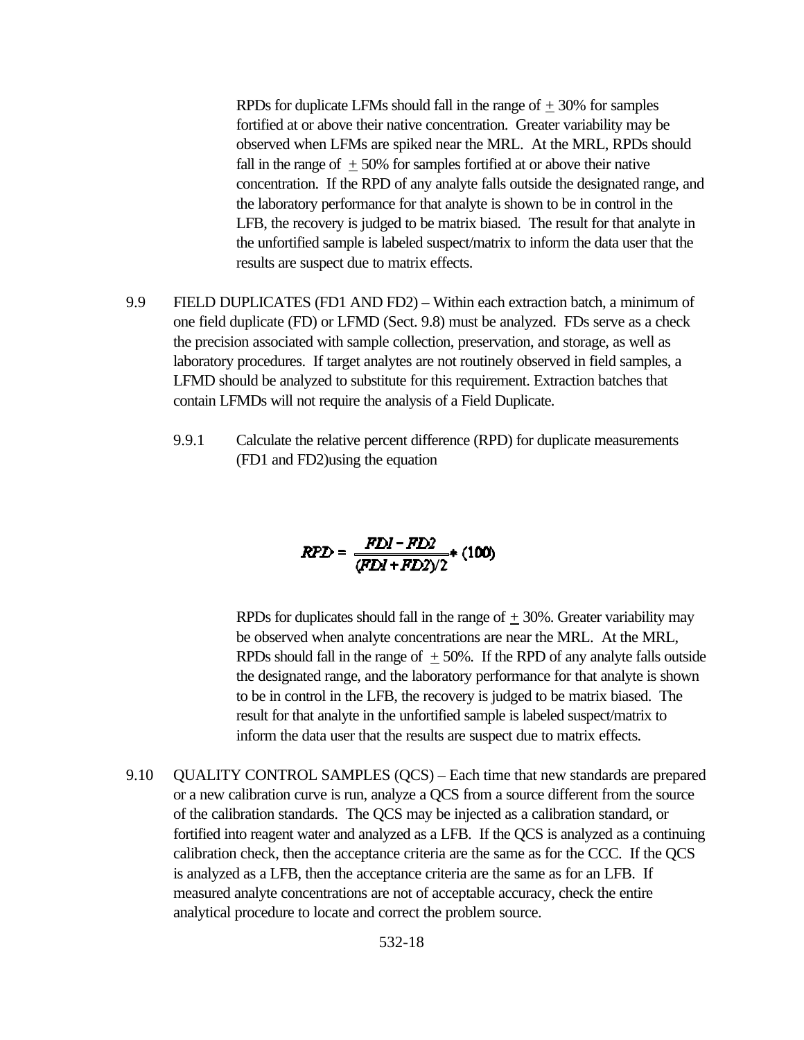RPDs for duplicate LFMs should fall in the range of  $\pm$  30% for samples fortified at or above their native concentration. Greater variability may be observed when LFMs are spiked near the MRL. At the MRL, RPDs should fall in the range of  $\pm$  50% for samples fortified at or above their native concentration. If the RPD of any analyte falls outside the designated range, and the laboratory performance for that analyte is shown to be in control in the LFB, the recovery is judged to be matrix biased. The result for that analyte in the unfortified sample is labeled suspect/matrix to inform the data user that the results are suspect due to matrix effects.

- 9.9 FIELD DUPLICATES (FD1 AND FD2) Within each extraction batch, a minimum of one field duplicate (FD) or LFMD (Sect. 9.8) must be analyzed. FDs serve as a check the precision associated with sample collection, preservation, and storage, as well as laboratory procedures. If target analytes are not routinely observed in field samples, a LFMD should be analyzed to substitute for this requirement. Extraction batches that contain LFMDs will not require the analysis of a Field Duplicate.
	- 9.9.1 Calculate the relative percent difference (RPD) for duplicate measurements (FD1 and FD2)using the equation

$$
RPD = \frac{FDI - FD2}{(FDI + FD2)/2} * (100)
$$

RPDs for duplicates should fall in the range of  $+30\%$ . Greater variability may be observed when analyte concentrations are near the MRL. At the MRL, RPDs should fall in the range of  $\pm$  50%. If the RPD of any analyte falls outside the designated range, and the laboratory performance for that analyte is shown to be in control in the LFB, the recovery is judged to be matrix biased. The result for that analyte in the unfortified sample is labeled suspect/matrix to inform the data user that the results are suspect due to matrix effects.

9.10 QUALITY CONTROL SAMPLES (QCS) – Each time that new standards are prepared or a new calibration curve is run, analyze a QCS from a source different from the source of the calibration standards. The QCS may be injected as a calibration standard, or fortified into reagent water and analyzed as a LFB. If the QCS is analyzed as a continuing calibration check, then the acceptance criteria are the same as for the CCC. If the QCS is analyzed as a LFB, then the acceptance criteria are the same as for an LFB. If measured analyte concentrations are not of acceptable accuracy, check the entire analytical procedure to locate and correct the problem source.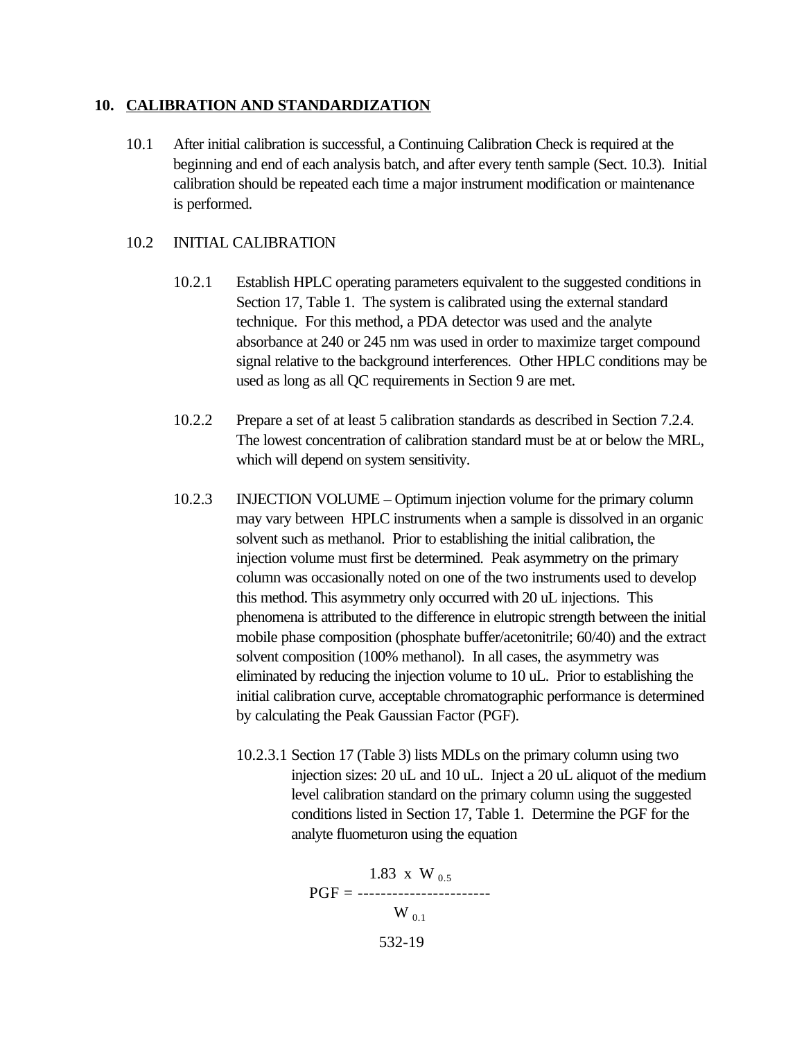#### **10. CALIBRATION AND STANDARDIZATION**

10.1 After initial calibration is successful, a Continuing Calibration Check is required at the beginning and end of each analysis batch, and after every tenth sample (Sect. 10.3). Initial calibration should be repeated each time a major instrument modification or maintenance is performed.

### 10.2 INITIAL CALIBRATION

- 10.2.1 Establish HPLC operating parameters equivalent to the suggested conditions in Section 17, Table 1. The system is calibrated using the external standard technique. For this method, a PDA detector was used and the analyte absorbance at 240 or 245 nm was used in order to maximize target compound signal relative to the background interferences. Other HPLC conditions may be used as long as all QC requirements in Section 9 are met.
- 10.2.2 Prepare a set of at least 5 calibration standards as described in Section 7.2.4. The lowest concentration of calibration standard must be at or below the MRL, which will depend on system sensitivity.
- 10.2.3 INJECTION VOLUME Optimum injection volume for the primary column may vary between HPLC instruments when a sample is dissolved in an organic solvent such as methanol. Prior to establishing the initial calibration, the injection volume must first be determined. Peak asymmetry on the primary column was occasionally noted on one of the two instruments used to develop this method. This asymmetry only occurred with 20 uL injections. This phenomena is attributed to the difference in elutropic strength between the initial mobile phase composition (phosphate buffer/acetonitrile; 60/40) and the extract solvent composition (100% methanol). In all cases, the asymmetry was eliminated by reducing the injection volume to 10 uL. Prior to establishing the initial calibration curve, acceptable chromatographic performance is determined by calculating the Peak Gaussian Factor (PGF).
	- 10.2.3.1 Section 17 (Table 3) lists MDLs on the primary column using two injection sizes: 20 uL and 10 uL. Inject a 20 uL aliquot of the medium level calibration standard on the primary column using the suggested conditions listed in Section 17, Table 1. Determine the PGF for the analyte fluometuron using the equation

532-19 1.83 x W  $_{0.5}$ PGF = -----------------------  $W_{0.1}$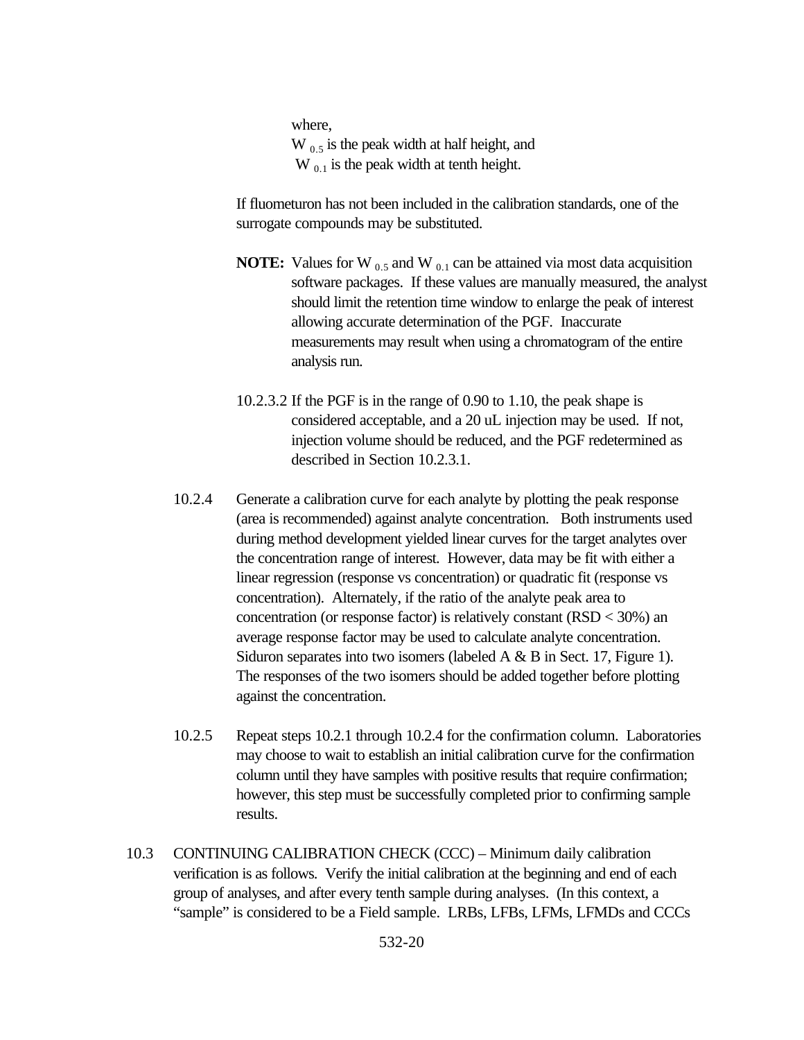where,

 $W_{0.5}$  is the peak width at half height, and  $W_{0,1}$  is the peak width at tenth height.

If fluometuron has not been included in the calibration standards, one of the surrogate compounds may be substituted.

- **NOTE:** Values for W  $_{0.5}$  and W  $_{0.1}$  can be attained via most data acquisition software packages. If these values are manually measured, the analyst should limit the retention time window to enlarge the peak of interest allowing accurate determination of the PGF. Inaccurate measurements may result when using a chromatogram of the entire analysis run.
- 10.2.3.2 If the PGF is in the range of 0.90 to 1.10, the peak shape is considered acceptable, and a 20 uL injection may be used. If not, injection volume should be reduced, and the PGF redetermined as described in Section 10.2.3.1.
- 10.2.4 Generate a calibration curve for each analyte by plotting the peak response (area is recommended) against analyte concentration. Both instruments used during method development yielded linear curves for the target analytes over the concentration range of interest. However, data may be fit with either a linear regression (response vs concentration) or quadratic fit (response vs concentration). Alternately, if the ratio of the analyte peak area to concentration (or response factor) is relatively constant  $(RSD < 30\%)$  an average response factor may be used to calculate analyte concentration. Siduron separates into two isomers (labeled A & B in Sect. 17, Figure 1). The responses of the two isomers should be added together before plotting against the concentration.
- 10.2.5 Repeat steps 10.2.1 through 10.2.4 for the confirmation column. Laboratories may choose to wait to establish an initial calibration curve for the confirmation column until they have samples with positive results that require confirmation; however, this step must be successfully completed prior to confirming sample results.
- 10.3 CONTINUING CALIBRATION CHECK (CCC) Minimum daily calibration verification is as follows. Verify the initial calibration at the beginning and end of each group of analyses, and after every tenth sample during analyses. (In this context, a "sample" is considered to be a Field sample. LRBs, LFBs, LFMs, LFMDs and CCCs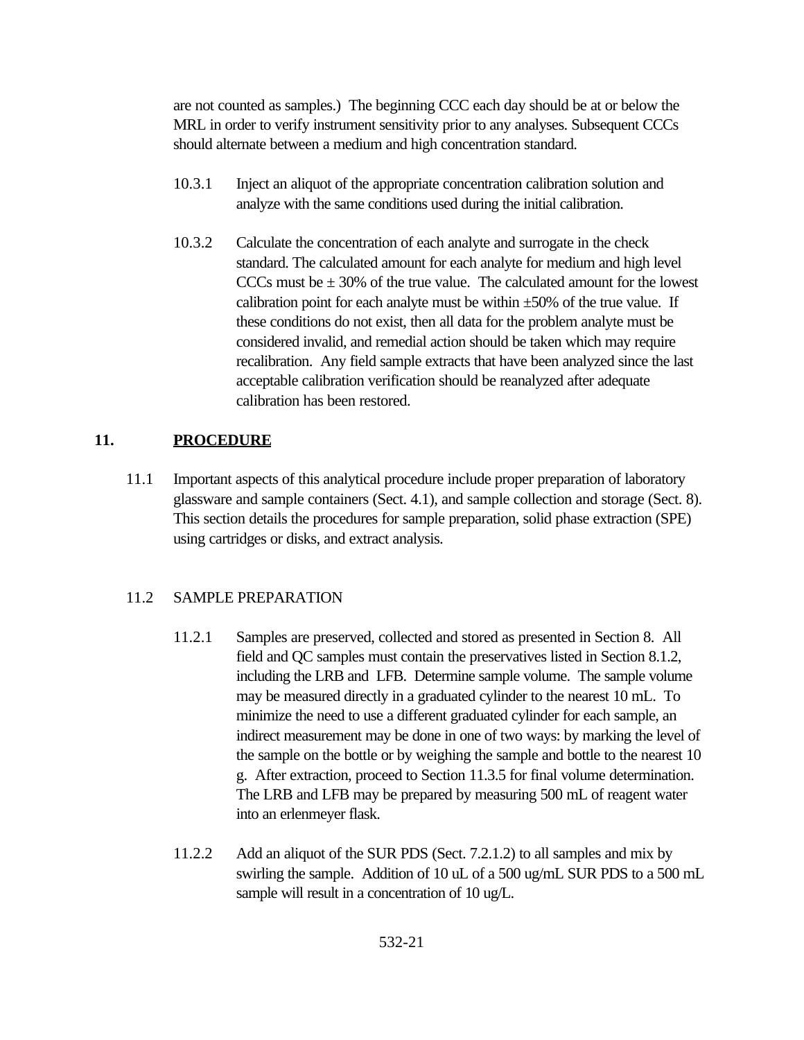are not counted as samples.) The beginning CCC each day should be at or below the MRL in order to verify instrument sensitivity prior to any analyses. Subsequent CCCs should alternate between a medium and high concentration standard.

- 10.3.1 Inject an aliquot of the appropriate concentration calibration solution and analyze with the same conditions used during the initial calibration.
- 10.3.2 Calculate the concentration of each analyte and surrogate in the check standard. The calculated amount for each analyte for medium and high level CCCs must be  $\pm$  30% of the true value. The calculated amount for the lowest calibration point for each analyte must be within  $\pm 50\%$  of the true value. If these conditions do not exist, then all data for the problem analyte must be considered invalid, and remedial action should be taken which may require recalibration. Any field sample extracts that have been analyzed since the last acceptable calibration verification should be reanalyzed after adequate calibration has been restored.

# **11. PROCEDURE**

11.1 Important aspects of this analytical procedure include proper preparation of laboratory glassware and sample containers (Sect. 4.1), and sample collection and storage (Sect. 8). This section details the procedures for sample preparation, solid phase extraction (SPE) using cartridges or disks, and extract analysis.

# 11.2 SAMPLE PREPARATION

- 11.2.1 Samples are preserved, collected and stored as presented in Section 8. All field and QC samples must contain the preservatives listed in Section 8.1.2, including the LRB and LFB. Determine sample volume. The sample volume may be measured directly in a graduated cylinder to the nearest 10 mL. To minimize the need to use a different graduated cylinder for each sample, an indirect measurement may be done in one of two ways: by marking the level of the sample on the bottle or by weighing the sample and bottle to the nearest 10 g. After extraction, proceed to Section 11.3.5 for final volume determination. The LRB and LFB may be prepared by measuring 500 mL of reagent water into an erlenmeyer flask.
- 11.2.2 Add an aliquot of the SUR PDS (Sect. 7.2.1.2) to all samples and mix by swirling the sample. Addition of 10 uL of a 500 ug/mL SUR PDS to a 500 mL sample will result in a concentration of 10 ug/L.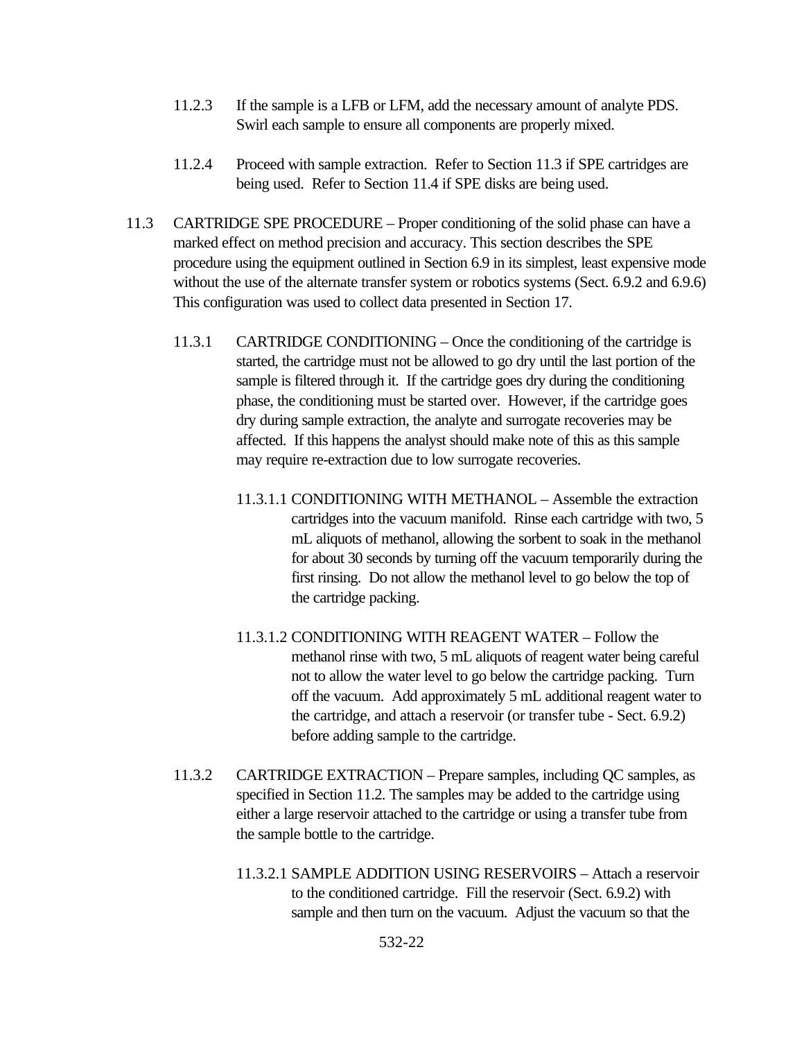- 11.2.3 If the sample is a LFB or LFM, add the necessary amount of analyte PDS. Swirl each sample to ensure all components are properly mixed.
- 11.2.4 Proceed with sample extraction. Refer to Section 11.3 if SPE cartridges are being used. Refer to Section 11.4 if SPE disks are being used.
- 11.3 CARTRIDGE SPE PROCEDURE Proper conditioning of the solid phase can have a marked effect on method precision and accuracy. This section describes the SPE procedure using the equipment outlined in Section 6.9 in its simplest, least expensive mode without the use of the alternate transfer system or robotics systems (Sect. 6.9.2 and 6.9.6) This configuration was used to collect data presented in Section 17.
	- 11.3.1 CARTRIDGE CONDITIONING Once the conditioning of the cartridge is started, the cartridge must not be allowed to go dry until the last portion of the sample is filtered through it. If the cartridge goes dry during the conditioning phase, the conditioning must be started over. However, if the cartridge goes dry during sample extraction, the analyte and surrogate recoveries may be affected. If this happens the analyst should make note of this as this sample may require re-extraction due to low surrogate recoveries.
		- 11.3.1.1 CONDITIONING WITH METHANOL Assemble the extraction cartridges into the vacuum manifold. Rinse each cartridge with two, 5 mL aliquots of methanol, allowing the sorbent to soak in the methanol for about 30 seconds by turning off the vacuum temporarily during the first rinsing. Do not allow the methanol level to go below the top of the cartridge packing.
		- 11.3.1.2 CONDITIONING WITH REAGENT WATER Follow the methanol rinse with two, 5 mL aliquots of reagent water being careful not to allow the water level to go below the cartridge packing. Turn off the vacuum. Add approximately 5 mL additional reagent water to the cartridge, and attach a reservoir (or transfer tube - Sect. 6.9.2) before adding sample to the cartridge.
	- 11.3.2 CARTRIDGE EXTRACTION Prepare samples, including QC samples, as specified in Section 11.2. The samples may be added to the cartridge using either a large reservoir attached to the cartridge or using a transfer tube from the sample bottle to the cartridge.
		- 11.3.2.1 SAMPLE ADDITION USING RESERVOIRS Attach a reservoir to the conditioned cartridge. Fill the reservoir (Sect. 6.9.2) with sample and then turn on the vacuum. Adjust the vacuum so that the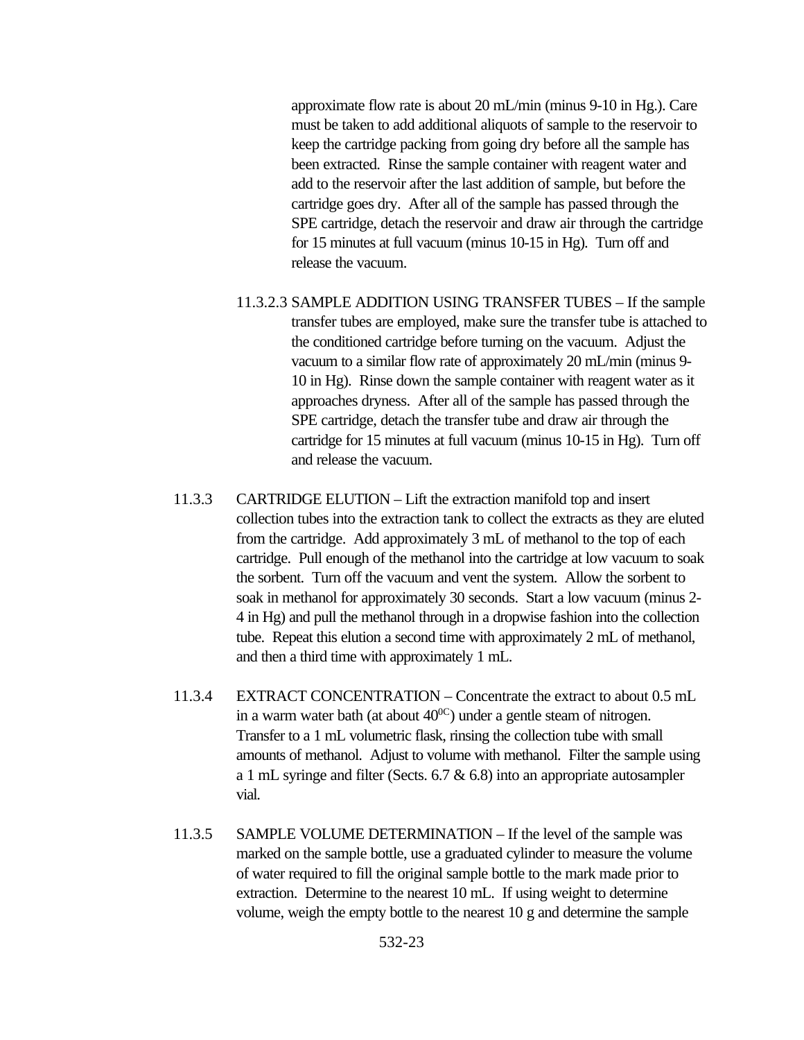approximate flow rate is about 20 mL/min (minus 9-10 in Hg.). Care must be taken to add additional aliquots of sample to the reservoir to keep the cartridge packing from going dry before all the sample has been extracted. Rinse the sample container with reagent water and add to the reservoir after the last addition of sample, but before the cartridge goes dry. After all of the sample has passed through the SPE cartridge, detach the reservoir and draw air through the cartridge for 15 minutes at full vacuum (minus 10-15 in Hg). Turn off and release the vacuum.

- 11.3.2.3 SAMPLE ADDITION USING TRANSFER TUBES If the sample transfer tubes are employed, make sure the transfer tube is attached to the conditioned cartridge before turning on the vacuum. Adjust the vacuum to a similar flow rate of approximately 20 mL/min (minus 9- 10 in Hg). Rinse down the sample container with reagent water as it approaches dryness. After all of the sample has passed through the SPE cartridge, detach the transfer tube and draw air through the cartridge for 15 minutes at full vacuum (minus 10-15 in Hg). Turn off and release the vacuum.
- 11.3.3 CARTRIDGE ELUTION Lift the extraction manifold top and insert collection tubes into the extraction tank to collect the extracts as they are eluted from the cartridge. Add approximately 3 mL of methanol to the top of each cartridge. Pull enough of the methanol into the cartridge at low vacuum to soak the sorbent. Turn off the vacuum and vent the system. Allow the sorbent to soak in methanol for approximately 30 seconds. Start a low vacuum (minus 2- 4 in Hg) and pull the methanol through in a dropwise fashion into the collection tube. Repeat this elution a second time with approximately 2 mL of methanol, and then a third time with approximately 1 mL.
- 11.3.4 EXTRACT CONCENTRATION Concentrate the extract to about 0.5 mL in a warm water bath (at about  $40^{\circ}$ ) under a gentle steam of nitrogen. Transfer to a 1 mL volumetric flask, rinsing the collection tube with small amounts of methanol. Adjust to volume with methanol. Filter the sample using a 1 mL syringe and filter (Sects. 6.7 & 6.8) into an appropriate autosampler vial.
- 11.3.5 SAMPLE VOLUME DETERMINATION If the level of the sample was marked on the sample bottle, use a graduated cylinder to measure the volume of water required to fill the original sample bottle to the mark made prior to extraction. Determine to the nearest 10 mL. If using weight to determine volume, weigh the empty bottle to the nearest 10 g and determine the sample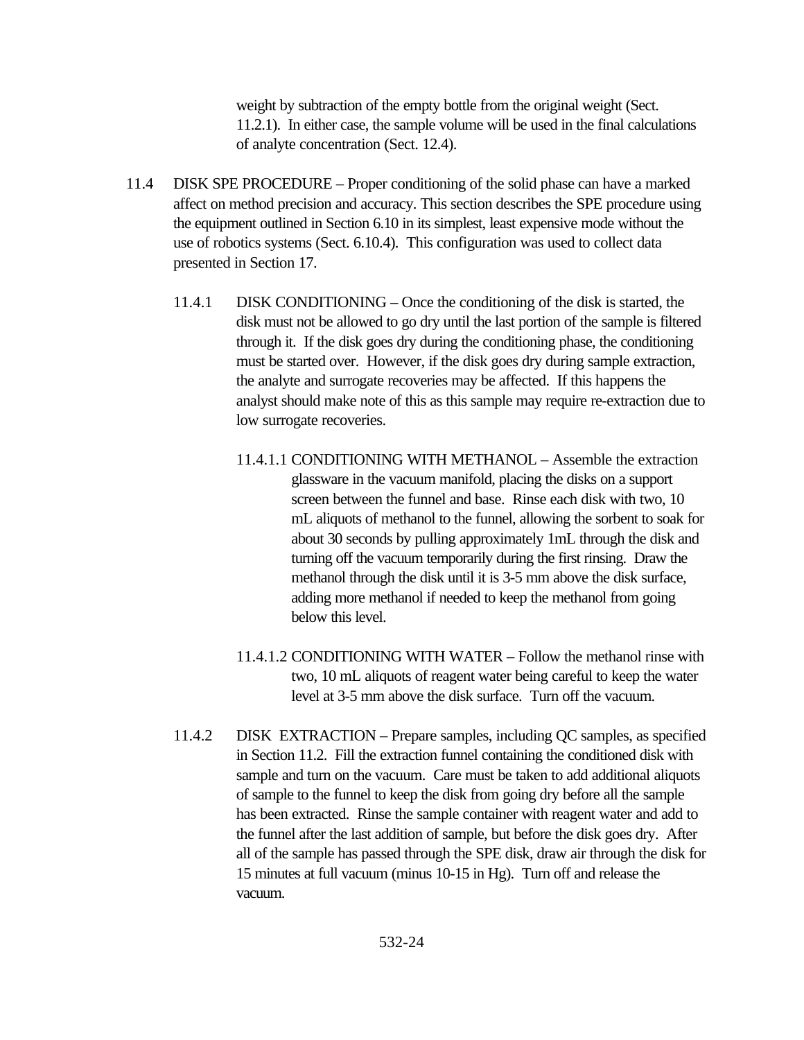weight by subtraction of the empty bottle from the original weight (Sect. 11.2.1). In either case, the sample volume will be used in the final calculations of analyte concentration (Sect. 12.4).

- 11.4 DISK SPE PROCEDURE Proper conditioning of the solid phase can have a marked affect on method precision and accuracy. This section describes the SPE procedure using the equipment outlined in Section 6.10 in its simplest, least expensive mode without the use of robotics systems (Sect. 6.10.4). This configuration was used to collect data presented in Section 17.
	- 11.4.1 DISK CONDITIONING Once the conditioning of the disk is started, the disk must not be allowed to go dry until the last portion of the sample is filtered through it. If the disk goes dry during the conditioning phase, the conditioning must be started over. However, if the disk goes dry during sample extraction, the analyte and surrogate recoveries may be affected. If this happens the analyst should make note of this as this sample may require re-extraction due to low surrogate recoveries.
		- 11.4.1.1 CONDITIONING WITH METHANOL Assemble the extraction glassware in the vacuum manifold, placing the disks on a support screen between the funnel and base. Rinse each disk with two, 10 mL aliquots of methanol to the funnel, allowing the sorbent to soak for about 30 seconds by pulling approximately 1mL through the disk and turning off the vacuum temporarily during the first rinsing. Draw the methanol through the disk until it is 3-5 mm above the disk surface, adding more methanol if needed to keep the methanol from going below this level.
		- 11.4.1.2 CONDITIONING WITH WATER Follow the methanol rinse with two, 10 mL aliquots of reagent water being careful to keep the water level at 3-5 mm above the disk surface. Turn off the vacuum.
	- 11.4.2 DISK EXTRACTION Prepare samples, including QC samples, as specified in Section 11.2. Fill the extraction funnel containing the conditioned disk with sample and turn on the vacuum. Care must be taken to add additional aliquots of sample to the funnel to keep the disk from going dry before all the sample has been extracted. Rinse the sample container with reagent water and add to the funnel after the last addition of sample, but before the disk goes dry. After all of the sample has passed through the SPE disk, draw air through the disk for 15 minutes at full vacuum (minus 10-15 in Hg). Turn off and release the vacuum.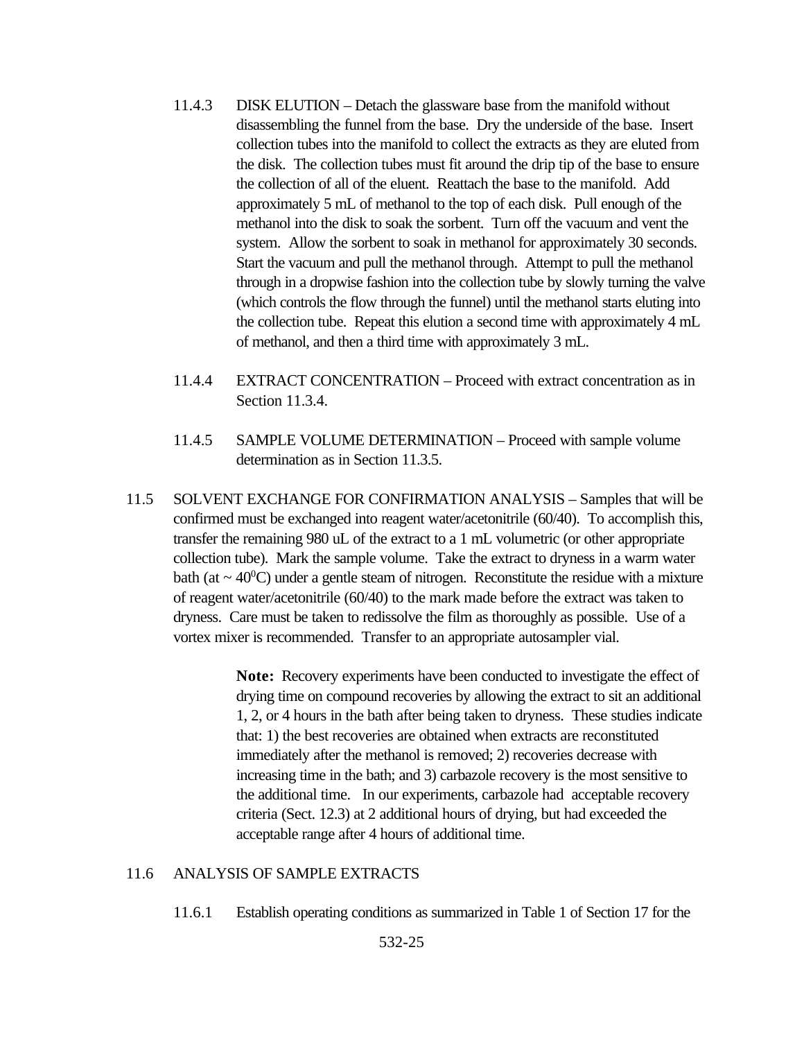- 11.4.3 DISK ELUTION Detach the glassware base from the manifold without disassembling the funnel from the base. Dry the underside of the base. Insert collection tubes into the manifold to collect the extracts as they are eluted from the disk. The collection tubes must fit around the drip tip of the base to ensure the collection of all of the eluent. Reattach the base to the manifold. Add approximately 5 mL of methanol to the top of each disk. Pull enough of the methanol into the disk to soak the sorbent. Turn off the vacuum and vent the system. Allow the sorbent to soak in methanol for approximately 30 seconds. Start the vacuum and pull the methanol through. Attempt to pull the methanol through in a dropwise fashion into the collection tube by slowly turning the valve (which controls the flow through the funnel) until the methanol starts eluting into the collection tube. Repeat this elution a second time with approximately 4 mL of methanol, and then a third time with approximately 3 mL.
- 11.4.4 EXTRACT CONCENTRATION Proceed with extract concentration as in Section 11.3.4.
- 11.4.5 SAMPLE VOLUME DETERMINATION Proceed with sample volume determination as in Section 11.3.5.
- 11.5 SOLVENT EXCHANGE FOR CONFIRMATION ANALYSIS Samples that will be confirmed must be exchanged into reagent water/acetonitrile (60/40). To accomplish this, transfer the remaining 980 uL of the extract to a 1 mL volumetric (or other appropriate collection tube). Mark the sample volume. Take the extract to dryness in a warm water bath (at  $\sim$  40<sup>0</sup>C) under a gentle steam of nitrogen. Reconstitute the residue with a mixture of reagent water/acetonitrile (60/40) to the mark made before the extract was taken to dryness. Care must be taken to redissolve the film as thoroughly as possible. Use of a vortex mixer is recommended. Transfer to an appropriate autosampler vial.

**Note:** Recovery experiments have been conducted to investigate the effect of drying time on compound recoveries by allowing the extract to sit an additional 1, 2, or 4 hours in the bath after being taken to dryness. These studies indicate that: 1) the best recoveries are obtained when extracts are reconstituted immediately after the methanol is removed; 2) recoveries decrease with increasing time in the bath; and 3) carbazole recovery is the most sensitive to the additional time. In our experiments, carbazole had acceptable recovery criteria (Sect. 12.3) at 2 additional hours of drying, but had exceeded the acceptable range after 4 hours of additional time.

#### 11.6 ANALYSIS OF SAMPLE EXTRACTS

11.6.1 Establish operating conditions as summarized in Table 1 of Section 17 for the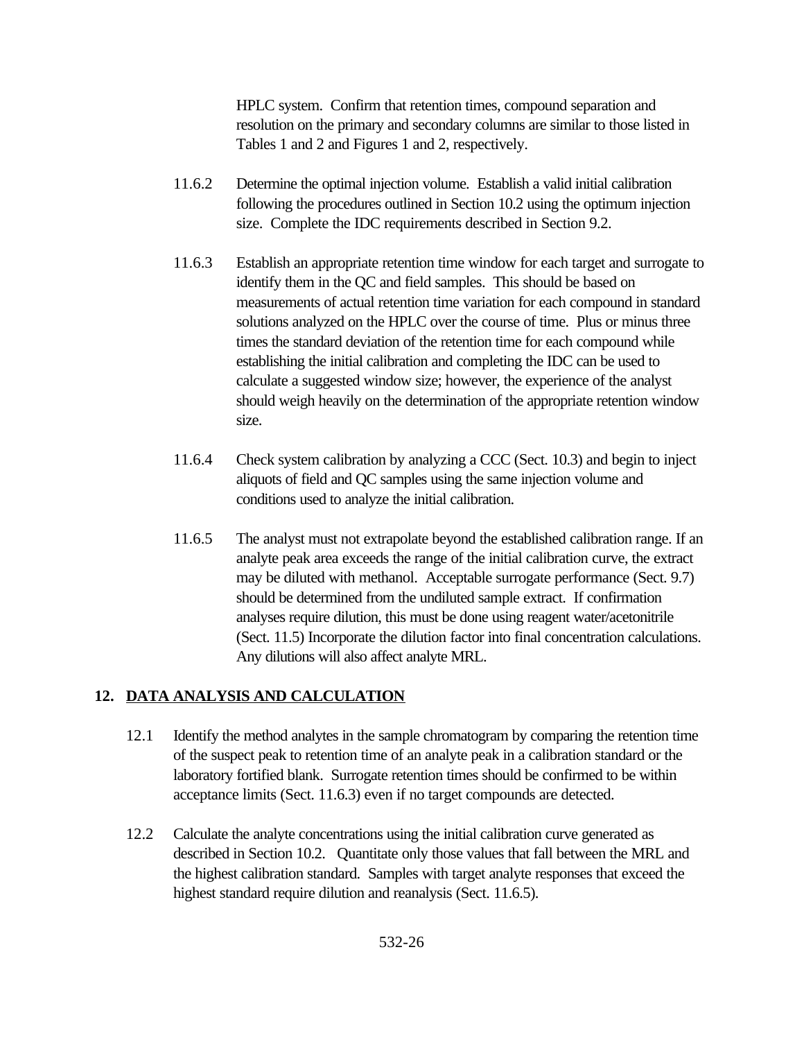HPLC system. Confirm that retention times, compound separation and resolution on the primary and secondary columns are similar to those listed in Tables 1 and 2 and Figures 1 and 2, respectively.

- 11.6.2 Determine the optimal injection volume. Establish a valid initial calibration following the procedures outlined in Section 10.2 using the optimum injection size. Complete the IDC requirements described in Section 9.2.
- 11.6.3 Establish an appropriate retention time window for each target and surrogate to identify them in the QC and field samples. This should be based on measurements of actual retention time variation for each compound in standard solutions analyzed on the HPLC over the course of time. Plus or minus three times the standard deviation of the retention time for each compound while establishing the initial calibration and completing the IDC can be used to calculate a suggested window size; however, the experience of the analyst should weigh heavily on the determination of the appropriate retention window size.
- 11.6.4 Check system calibration by analyzing a CCC (Sect. 10.3) and begin to inject aliquots of field and QC samples using the same injection volume and conditions used to analyze the initial calibration.
- 11.6.5 The analyst must not extrapolate beyond the established calibration range. If an analyte peak area exceeds the range of the initial calibration curve, the extract may be diluted with methanol. Acceptable surrogate performance (Sect. 9.7) should be determined from the undiluted sample extract. If confirmation analyses require dilution, this must be done using reagent water/acetonitrile (Sect. 11.5) Incorporate the dilution factor into final concentration calculations. Any dilutions will also affect analyte MRL.

# **12. DATA ANALYSIS AND CALCULATION**

- 12.1 Identify the method analytes in the sample chromatogram by comparing the retention time of the suspect peak to retention time of an analyte peak in a calibration standard or the laboratory fortified blank. Surrogate retention times should be confirmed to be within acceptance limits (Sect. 11.6.3) even if no target compounds are detected.
- 12.2 Calculate the analyte concentrations using the initial calibration curve generated as described in Section 10.2. Quantitate only those values that fall between the MRL and the highest calibration standard. Samples with target analyte responses that exceed the highest standard require dilution and reanalysis (Sect. 11.6.5).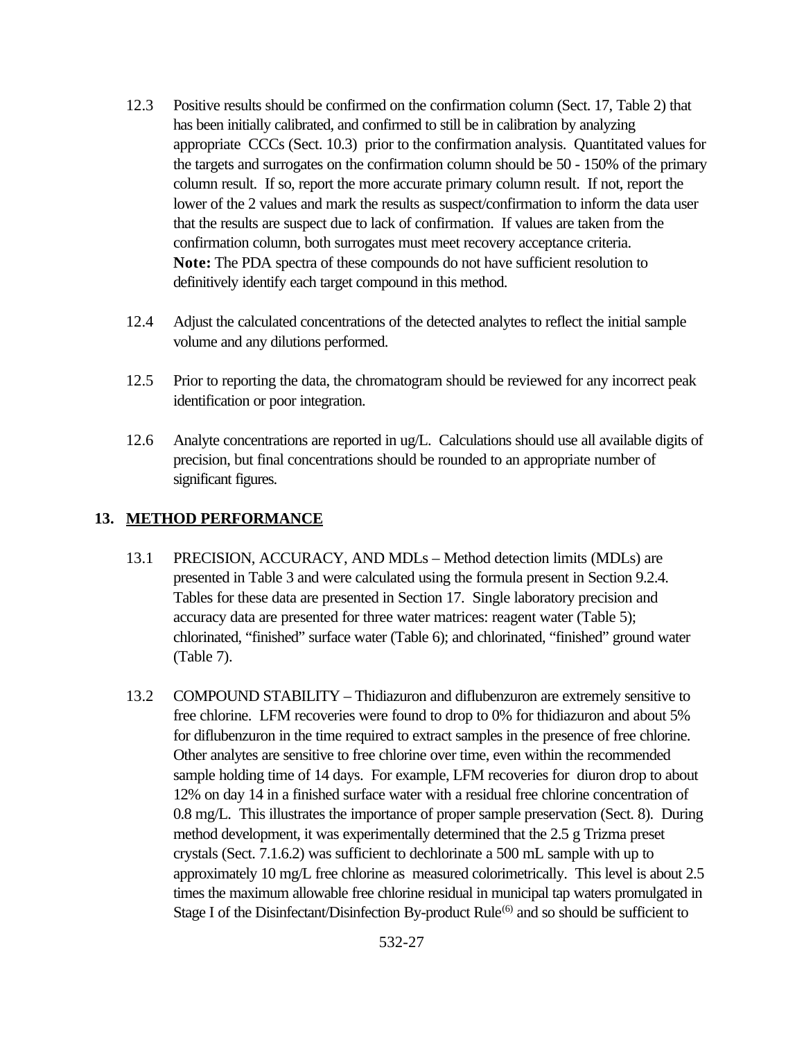- 12.3 Positive results should be confirmed on the confirmation column (Sect. 17, Table 2) that has been initially calibrated, and confirmed to still be in calibration by analyzing appropriate CCCs (Sect. 10.3) prior to the confirmation analysis. Quantitated values for the targets and surrogates on the confirmation column should be 50 - 150% of the primary column result. If so, report the more accurate primary column result. If not, report the lower of the 2 values and mark the results as suspect/confirmation to inform the data user that the results are suspect due to lack of confirmation. If values are taken from the confirmation column, both surrogates must meet recovery acceptance criteria. **Note:** The PDA spectra of these compounds do not have sufficient resolution to definitively identify each target compound in this method.
- 12.4 Adjust the calculated concentrations of the detected analytes to reflect the initial sample volume and any dilutions performed.
- 12.5 Prior to reporting the data, the chromatogram should be reviewed for any incorrect peak identification or poor integration.
- 12.6 Analyte concentrations are reported in ug/L. Calculations should use all available digits of precision, but final concentrations should be rounded to an appropriate number of significant figures.

### **13. METHOD PERFORMANCE**

- 13.1 PRECISION, ACCURACY, AND MDLs Method detection limits (MDLs) are presented in Table 3 and were calculated using the formula present in Section 9.2.4. Tables for these data are presented in Section 17. Single laboratory precision and accuracy data are presented for three water matrices: reagent water (Table 5); chlorinated, "finished" surface water (Table 6); and chlorinated, "finished" ground water (Table 7).
- 13.2 COMPOUND STABILITY Thidiazuron and diflubenzuron are extremely sensitive to free chlorine. LFM recoveries were found to drop to 0% for thidiazuron and about 5% for diflubenzuron in the time required to extract samples in the presence of free chlorine. Other analytes are sensitive to free chlorine over time, even within the recommended sample holding time of 14 days. For example, LFM recoveries for diuron drop to about 12% on day 14 in a finished surface water with a residual free chlorine concentration of 0.8 mg/L. This illustrates the importance of proper sample preservation (Sect. 8). During method development, it was experimentally determined that the 2.5 g Trizma preset crystals (Sect. 7.1.6.2) was sufficient to dechlorinate a 500 mL sample with up to approximately 10 mg/L free chlorine as measured colorimetrically. This level is about 2.5 times the maximum allowable free chlorine residual in municipal tap waters promulgated in Stage I of the Disinfectant/Disinfection By-product Rule<sup>(6)</sup> and so should be sufficient to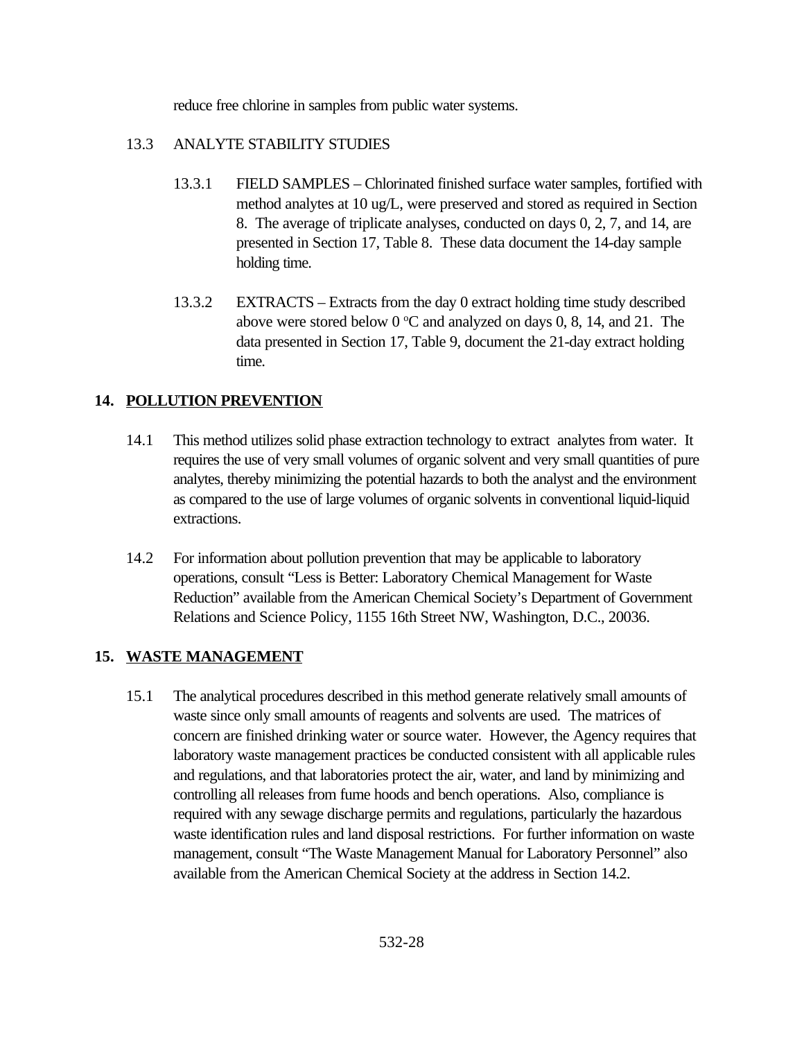reduce free chlorine in samples from public water systems.

# 13.3 ANALYTE STABILITY STUDIES

- 13.3.1 FIELD SAMPLES Chlorinated finished surface water samples, fortified with method analytes at 10 ug/L, were preserved and stored as required in Section 8. The average of triplicate analyses, conducted on days 0, 2, 7, and 14, are presented in Section 17, Table 8. These data document the 14-day sample holding time.
- 13.3.2 EXTRACTS Extracts from the day 0 extract holding time study described above were stored below  $0^{\circ}$ C and analyzed on days 0, 8, 14, and 21. The data presented in Section 17, Table 9, document the 21-day extract holding time.

# **14. POLLUTION PREVENTION**

- 14.1 This method utilizes solid phase extraction technology to extract analytes from water. It requires the use of very small volumes of organic solvent and very small quantities of pure analytes, thereby minimizing the potential hazards to both the analyst and the environment as compared to the use of large volumes of organic solvents in conventional liquid-liquid extractions.
- 14.2 For information about pollution prevention that may be applicable to laboratory operations, consult "Less is Better: Laboratory Chemical Management for Waste Reduction" available from the American Chemical Society's Department of Government Relations and Science Policy, 1155 16th Street NW, Washington, D.C., 20036.

# **15. WASTE MANAGEMENT**

15.1 The analytical procedures described in this method generate relatively small amounts of waste since only small amounts of reagents and solvents are used. The matrices of concern are finished drinking water or source water. However, the Agency requires that laboratory waste management practices be conducted consistent with all applicable rules and regulations, and that laboratories protect the air, water, and land by minimizing and controlling all releases from fume hoods and bench operations. Also, compliance is required with any sewage discharge permits and regulations, particularly the hazardous waste identification rules and land disposal restrictions. For further information on waste management, consult "The Waste Management Manual for Laboratory Personnel" also available from the American Chemical Society at the address in Section 14.2.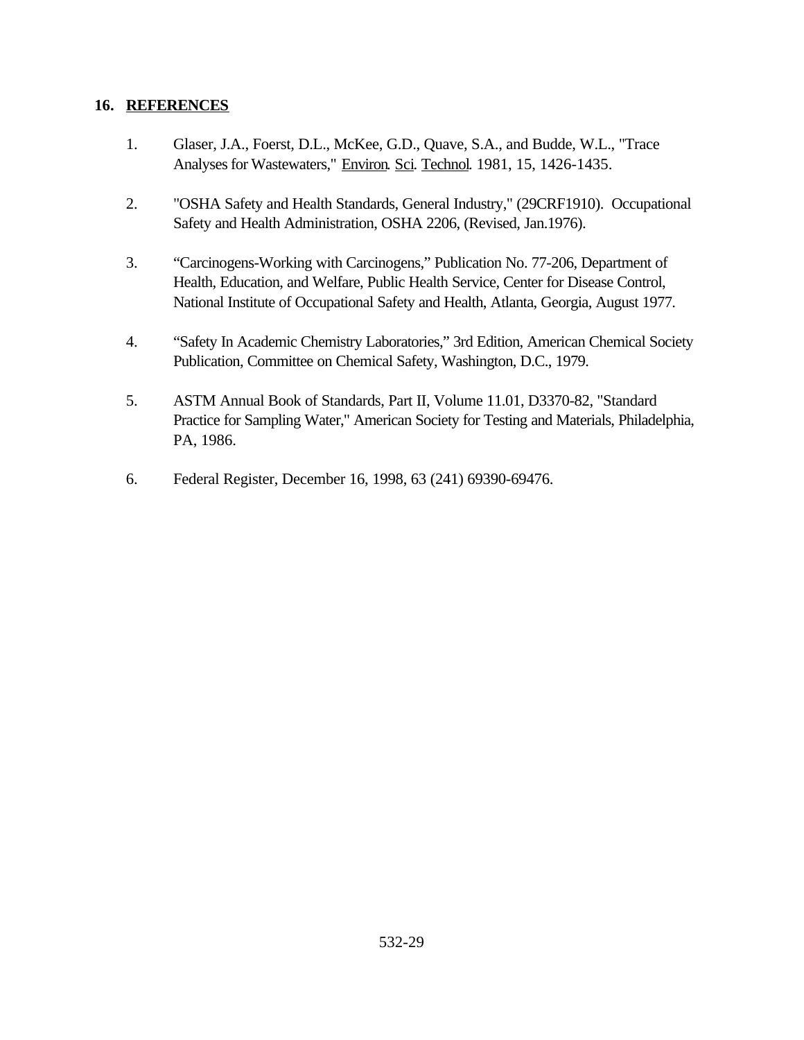### **16. REFERENCES**

- 1. Glaser, J.A., Foerst, D.L., McKee, G.D., Quave, S.A., and Budde, W.L., "Trace Analyses for Wastewaters," Environ. Sci. Technol. 1981, 15, 1426-1435.
- 2. "OSHA Safety and Health Standards, General Industry," (29CRF1910). Occupational Safety and Health Administration, OSHA 2206, (Revised, Jan.1976).
- 3. "Carcinogens-Working with Carcinogens," Publication No. 77-206, Department of Health, Education, and Welfare, Public Health Service, Center for Disease Control, National Institute of Occupational Safety and Health, Atlanta, Georgia, August 1977.
- 4. "Safety In Academic Chemistry Laboratories," 3rd Edition, American Chemical Society Publication, Committee on Chemical Safety, Washington, D.C., 1979.
- 5. ASTM Annual Book of Standards, Part II, Volume 11.01, D3370-82, "Standard Practice for Sampling Water," American Society for Testing and Materials, Philadelphia, PA, 1986.
- 6. Federal Register, December 16, 1998, 63 (241) 69390-69476.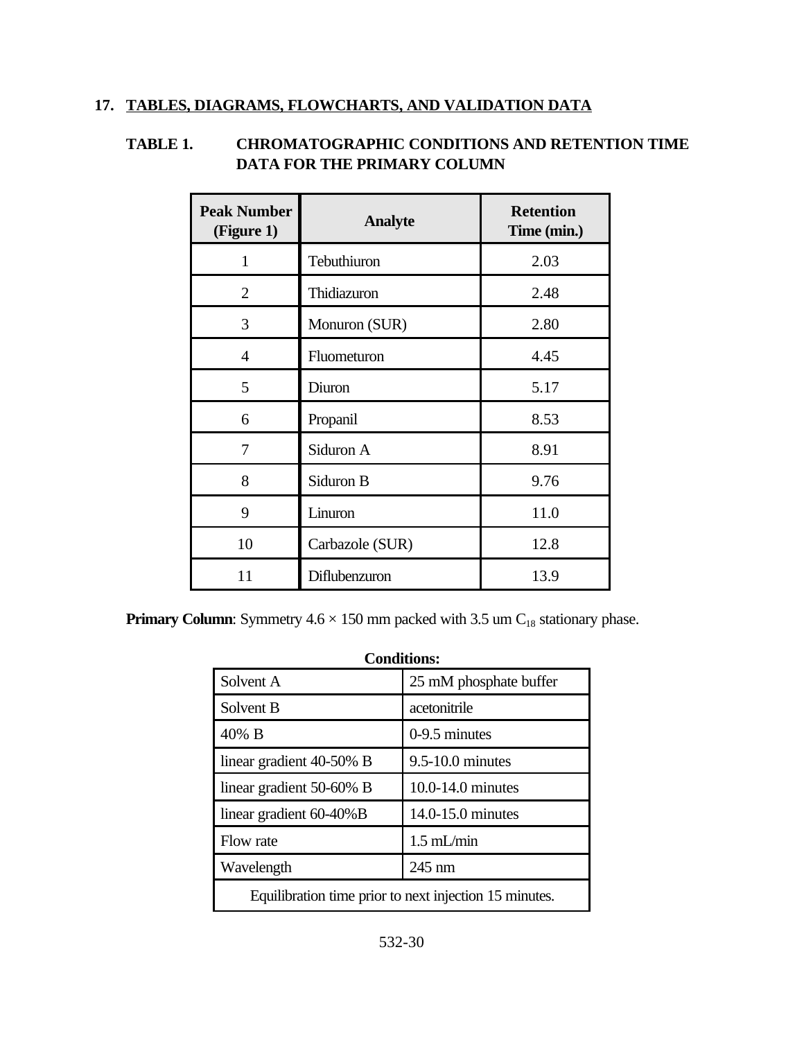### **17. TABLES, DIAGRAMS, FLOWCHARTS, AND VALIDATION DATA**

# **TABLE 1. CHROMATOGRAPHIC CONDITIONS AND RETENTION TIME DATA FOR THE PRIMARY COLUMN**

| <b>Peak Number</b><br>(Figure 1) | <b>Analyte</b>  | <b>Retention</b><br>Time (min.) |
|----------------------------------|-----------------|---------------------------------|
| $\mathbf{1}$                     | Tebuthiuron     | 2.03                            |
| $\overline{2}$                   | Thidiazuron     | 2.48                            |
| 3                                | Monuron (SUR)   | 2.80                            |
| 4                                | Fluometuron     | 4.45                            |
| 5                                | Diuron          | 5.17                            |
| 6                                | Propanil        | 8.53                            |
| 7                                | Siduron A       | 8.91                            |
| 8                                | Siduron B       | 9.76                            |
| 9                                | Linuron         | 11.0                            |
| 10                               | Carbazole (SUR) | 12.8                            |
| 11                               | Diflubenzuron   | 13.9                            |

**Primary Column**: Symmetry  $4.6 \times 150$  mm packed with  $3.5$  um  $C_{18}$  stationary phase.

| <b>Conditions:</b>                                     |                        |  |  |
|--------------------------------------------------------|------------------------|--|--|
| Solvent A                                              | 25 mM phosphate buffer |  |  |
| Solvent B                                              | acetonitrile           |  |  |
| $40\%$ B                                               | $0-9.5$ minutes        |  |  |
| linear gradient 40-50% B                               | $9.5 - 10.0$ minutes   |  |  |
| linear gradient 50-60% B                               | 10.0-14.0 minutes      |  |  |
| linear gradient 60-40%B                                | 14.0-15.0 minutes      |  |  |
| Flow rate                                              | $1.5$ mL/min           |  |  |
| Wavelength                                             | $245 \text{ nm}$       |  |  |
| Equilibration time prior to next injection 15 minutes. |                        |  |  |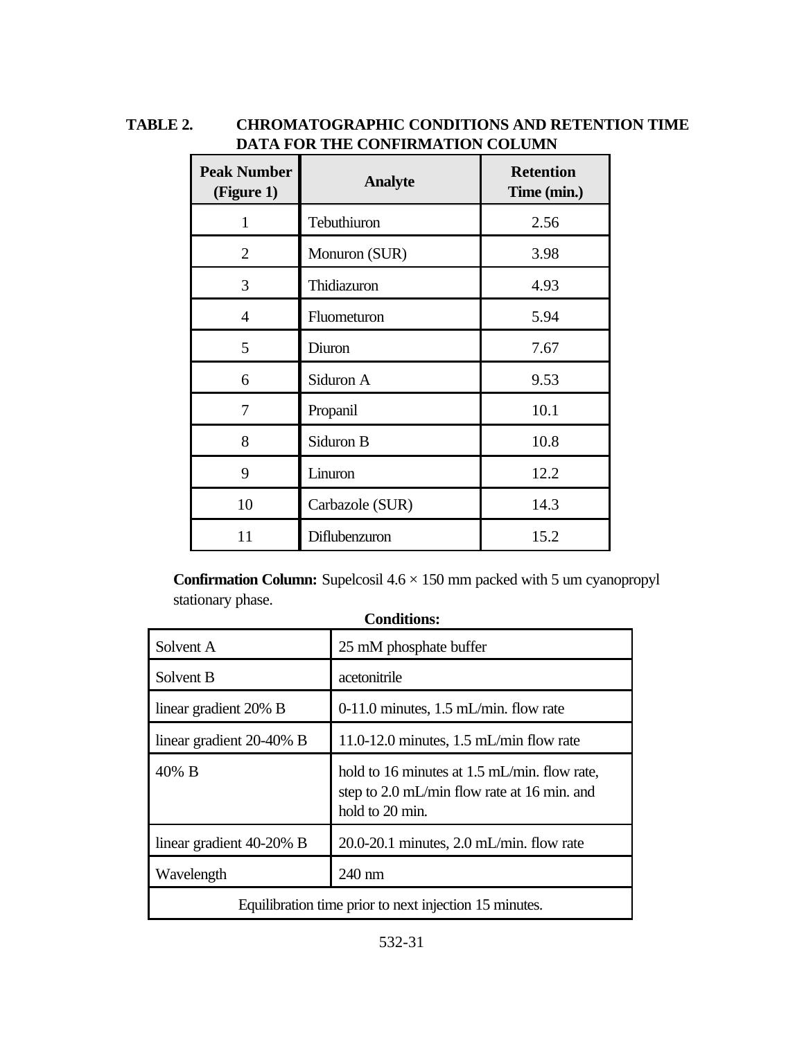# **TABLE 2. CHROMATOGRAPHIC CONDITIONS AND RETENTION TIME DATA FOR THE CONFIRMATION COLUMN**

| <b>Peak Number</b><br>(Figure 1) | <b>Analyte</b>  | <b>Retention</b><br>Time (min.) |
|----------------------------------|-----------------|---------------------------------|
| $\mathbf{1}$                     | Tebuthiuron     | 2.56                            |
| $\overline{2}$                   | Monuron (SUR)   | 3.98                            |
| 3                                | Thidiazuron     | 4.93                            |
| 4                                | Fluometuron     | 5.94                            |
| 5                                | Diuron          | 7.67                            |
| 6                                | Siduron A       | 9.53                            |
| 7                                | Propanil        | 10.1                            |
| 8                                | Siduron B       | 10.8                            |
| 9                                | Linuron         | 12.2                            |
| 10                               | Carbazole (SUR) | 14.3                            |
| 11                               | Diflubenzuron   | 15.2                            |

**Confirmation Column:** Supelcosil 4.6 × 150 mm packed with 5 um cyanopropyl stationary phase.

| <b>Conditions:</b>                                     |                                                                                                                |  |  |
|--------------------------------------------------------|----------------------------------------------------------------------------------------------------------------|--|--|
| Solvent A                                              | 25 mM phosphate buffer                                                                                         |  |  |
| Solvent B                                              | acetonitrile                                                                                                   |  |  |
| linear gradient 20% B                                  | $0-11.0$ minutes, 1.5 mL/min. flow rate                                                                        |  |  |
| linear gradient 20-40% B                               | 11.0-12.0 minutes, $1.5$ mL/min flow rate                                                                      |  |  |
| 40% B                                                  | hold to 16 minutes at 1.5 mL/min. flow rate,<br>step to 2.0 mL/min flow rate at 16 min. and<br>hold to 20 min. |  |  |
| linear gradient 40-20% B                               | $20.0 - 20.1$ minutes, $2.0$ mL/min. flow rate                                                                 |  |  |
| Wavelength                                             | 240 nm                                                                                                         |  |  |
| Equilibration time prior to next injection 15 minutes. |                                                                                                                |  |  |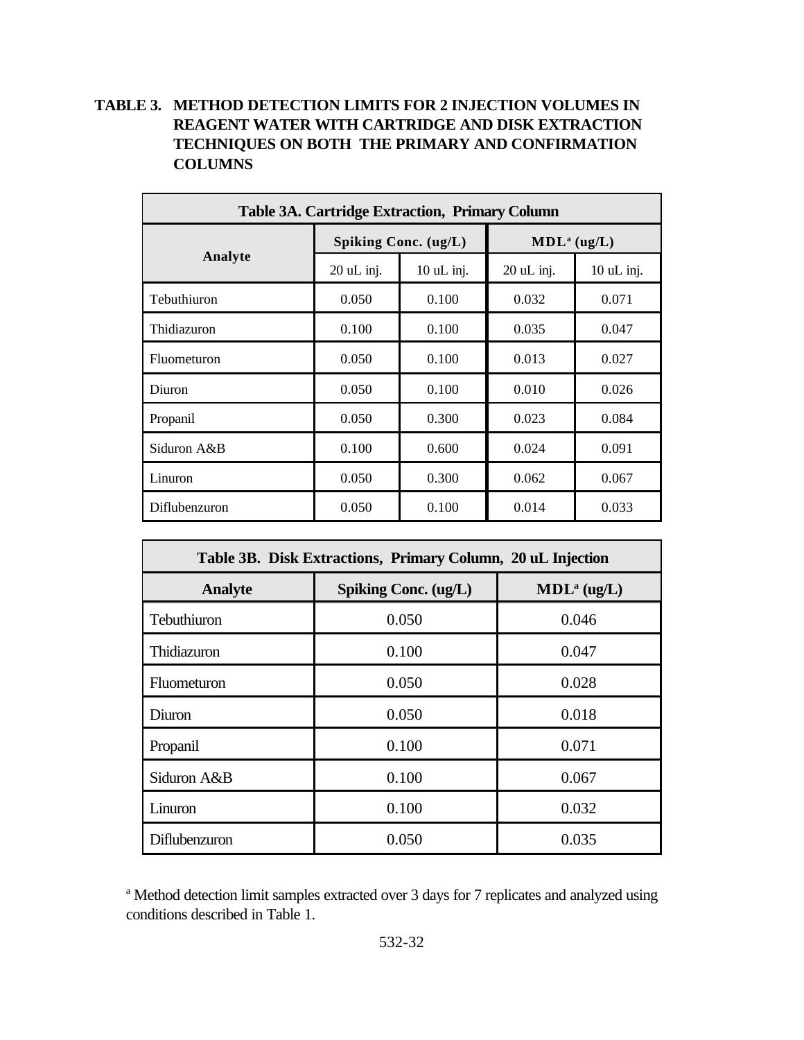# **TABLE 3. METHOD DETECTION LIMITS FOR 2 INJECTION VOLUMES IN REAGENT WATER WITH CARTRIDGE AND DISK EXTRACTION TECHNIQUES ON BOTH THE PRIMARY AND CONFIRMATION COLUMNS**

| <b>Table 3A. Cartridge Extraction, Primary Column</b> |                      |              |                         |            |  |
|-------------------------------------------------------|----------------------|--------------|-------------------------|------------|--|
|                                                       | Spiking Conc. (ug/L) |              | MDL <sup>a</sup> (ug/L) |            |  |
| Analyte                                               | 20 uL inj.           | $10$ uL inj. | $20$ uL inj.            | 10 uL inj. |  |
| Tebuthiuron                                           | 0.050                | 0.100        | 0.032                   | 0.071      |  |
| Thidiazuron                                           | 0.100                | 0.100        | 0.035                   | 0.047      |  |
| Fluometuron                                           | 0.050                | 0.100        | 0.013                   | 0.027      |  |
| Diuron                                                | 0.050                | 0.100        | 0.010                   | 0.026      |  |
| Propanil                                              | 0.050                | 0.300        | 0.023                   | 0.084      |  |
| Siduron A&B                                           | 0.100                | 0.600        | 0.024                   | 0.091      |  |
| Linuron                                               | 0.050                | 0.300        | 0.062                   | 0.067      |  |
| Diflubenzuron                                         | 0.050                | 0.100        | 0.014                   | 0.033      |  |

| Table 3B. Disk Extractions, Primary Column, 20 uL Injection |                                                 |       |  |  |  |
|-------------------------------------------------------------|-------------------------------------------------|-------|--|--|--|
| <b>Analyte</b>                                              | Spiking Conc. (ug/L)<br>MDL <sup>a</sup> (ug/L) |       |  |  |  |
| Tebuthiuron                                                 | 0.050                                           | 0.046 |  |  |  |
| Thidiazuron                                                 | 0.100                                           | 0.047 |  |  |  |
| Fluometuron                                                 | 0.050                                           | 0.028 |  |  |  |
| Diuron                                                      | 0.050                                           | 0.018 |  |  |  |
| Propanil                                                    | 0.100                                           | 0.071 |  |  |  |
| Siduron A&B                                                 | 0.100                                           | 0.067 |  |  |  |
| Linuron                                                     | 0.100                                           | 0.032 |  |  |  |
| Diflubenzuron                                               | 0.050                                           | 0.035 |  |  |  |

<sup>a</sup> Method detection limit samples extracted over 3 days for 7 replicates and analyzed using conditions described in Table 1.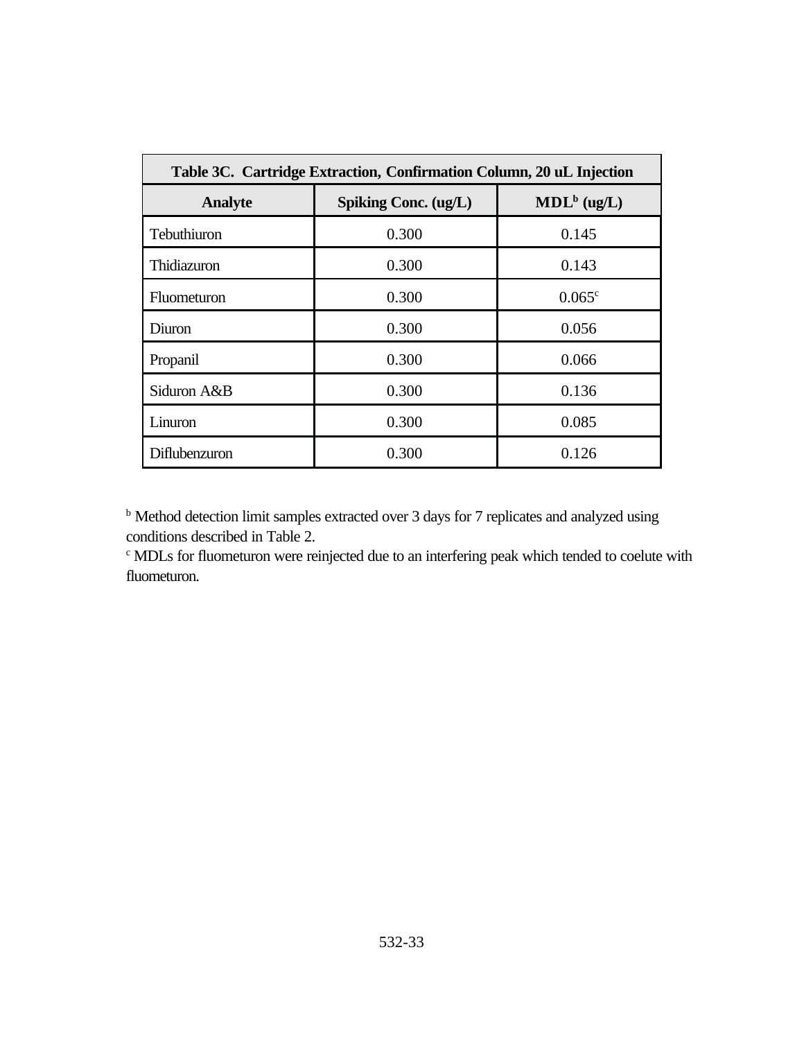| Table 3C. Cartridge Extraction, Confirmation Column, 20 uL Injection |                                                 |                 |  |  |
|----------------------------------------------------------------------|-------------------------------------------------|-----------------|--|--|
| <b>Analyte</b>                                                       | MDL <sup>b</sup> (ug/L)<br>Spiking Conc. (ug/L) |                 |  |  |
| Tebuthiuron                                                          | 0.300                                           | 0.145           |  |  |
| Thidiazuron                                                          | 0.300                                           | 0.143           |  |  |
| <b>Fluometuron</b>                                                   | 0.300                                           | $0.065^{\circ}$ |  |  |
| Diuron                                                               | 0.300                                           | 0.056           |  |  |
| Propanil                                                             | 0.300                                           | 0.066           |  |  |
| Siduron A&B                                                          | 0.300                                           | 0.136           |  |  |
| Linuron                                                              | 0.300                                           | 0.085           |  |  |
| Diflubenzuron                                                        | 0.300                                           | 0.126           |  |  |

<sup>b</sup> Method detection limit samples extracted over 3 days for 7 replicates and analyzed using conditions described in Table 2.

c MDLs for fluometuron were reinjected due to an interfering peak which tended to coelute with fluometuron.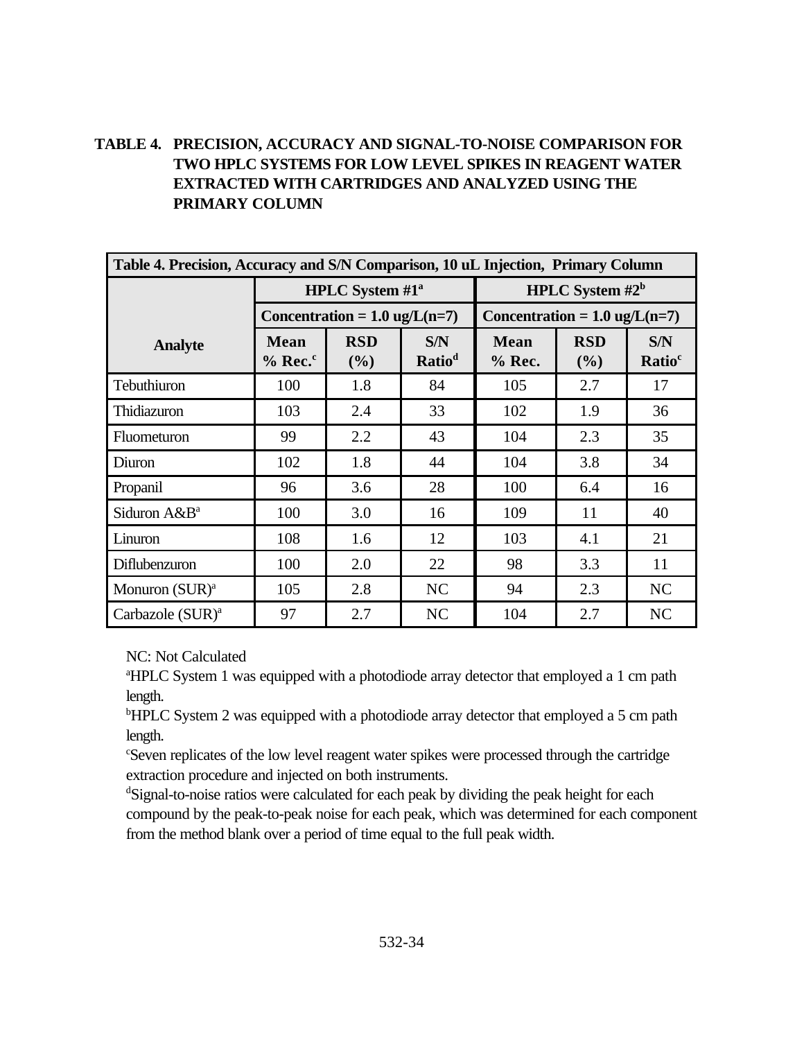# **TABLE 4. PRECISION, ACCURACY AND SIGNAL-TO-NOISE COMPARISON FOR TWO HPLC SYSTEMS FOR LOW LEVEL SPIKES IN REAGENT WATER EXTRACTED WITH CARTRIDGES AND ANALYZED USING THE PRIMARY COLUMN**

| Table 4. Precision, Accuracy and S/N Comparison, 10 uL Injection, Primary Column |                             |                                         |                           |                                         |                   |                           |
|----------------------------------------------------------------------------------|-----------------------------|-----------------------------------------|---------------------------|-----------------------------------------|-------------------|---------------------------|
|                                                                                  | <b>HPLC</b> System $#1^a$   |                                         |                           | HPLC System $#2^b$                      |                   |                           |
|                                                                                  |                             | Concentration = $1.0 \text{ ug/L}(n=7)$ |                           | Concentration = $1.0 \text{ ug/L}(n=7)$ |                   |                           |
| <b>Analyte</b>                                                                   | <b>Mean</b><br>$%$ Rec. $c$ | <b>RSD</b><br>(%)                       | S/N<br>Ratio <sup>d</sup> | <b>Mean</b><br>$%$ Rec.                 | <b>RSD</b><br>(%) | S/N<br>Ratio <sup>c</sup> |
| Tebuthiuron                                                                      | 100                         | 1.8                                     | 84                        | 105                                     | 2.7               | 17                        |
| Thidiazuron                                                                      | 103                         | 2.4                                     | 33                        | 102                                     | 1.9               | 36                        |
| Fluometuron                                                                      | 99                          | 2.2                                     | 43                        | 104                                     | 2.3               | 35                        |
| Diuron                                                                           | 102                         | 1.8                                     | 44                        | 104                                     | 3.8               | 34                        |
| Propanil                                                                         | 96                          | 3.6                                     | 28                        | 100                                     | 6.4               | 16                        |
| Siduron A&B <sup>a</sup>                                                         | 100                         | 3.0                                     | 16                        | 109                                     | 11                | 40                        |
| Linuron                                                                          | 108                         | 1.6                                     | 12                        | 103                                     | 4.1               | 21                        |
| Diflubenzuron                                                                    | 100                         | 2.0                                     | 22                        | 98                                      | 3.3               | 11                        |
| Monuron $(SUR)^a$                                                                | 105                         | 2.8                                     | NC                        | 94                                      | 2.3               | NC                        |
| Carbazole (SUR) <sup>a</sup>                                                     | 97                          | 2.7                                     | NC                        | 104                                     | 2.7               | <b>NC</b>                 |

NC: Not Calculated

<sup>a</sup>HPLC System 1 was equipped with a photodiode array detector that employed a 1 cm path length.

<sup>b</sup>HPLC System 2 was equipped with a photodiode array detector that employed a 5 cm path length.

<sup>c</sup>Seven replicates of the low level reagent water spikes were processed through the cartridge extraction procedure and injected on both instruments.

<sup>d</sup>Signal-to-noise ratios were calculated for each peak by dividing the peak height for each compound by the peak-to-peak noise for each peak, which was determined for each component from the method blank over a period of time equal to the full peak width.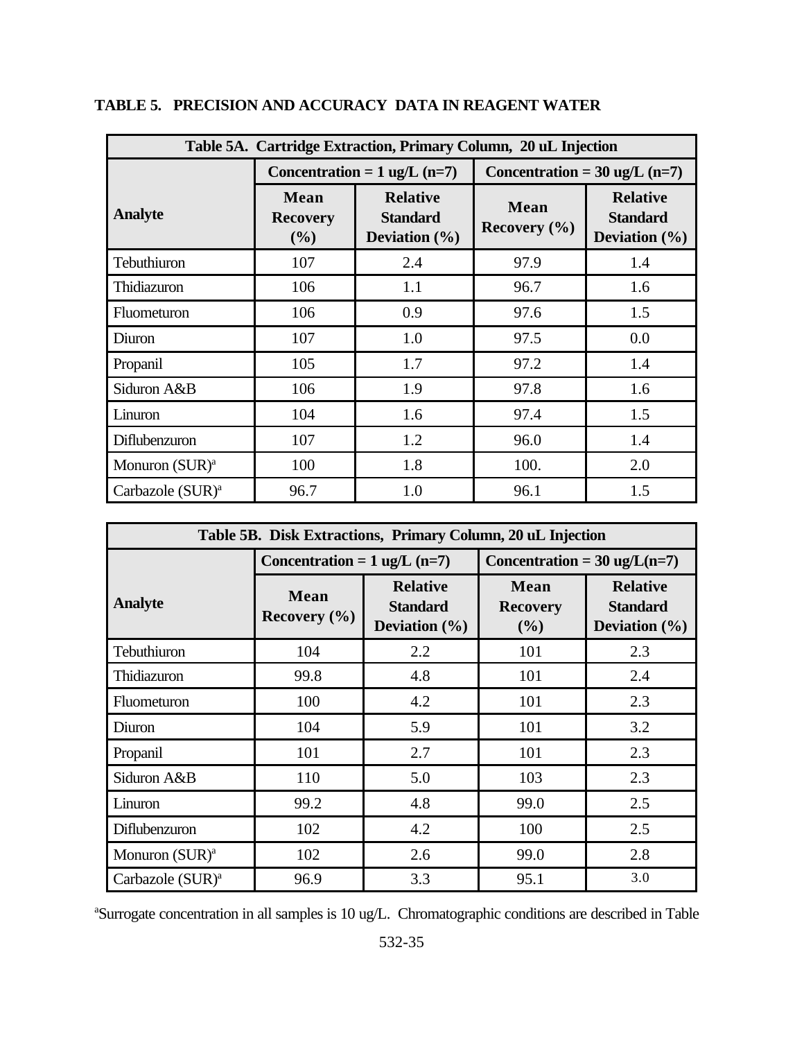| Table 5A. Cartridge Extraction, Primary Column, 20 uL Injection |                                |                                                         |                                         |                                                         |  |
|-----------------------------------------------------------------|--------------------------------|---------------------------------------------------------|-----------------------------------------|---------------------------------------------------------|--|
|                                                                 |                                | Concentration = $1$ ug/L (n=7)                          | Concentration = $30 \text{ ug/L}$ (n=7) |                                                         |  |
| <b>Analyte</b>                                                  | Mean<br><b>Recovery</b><br>(%) | <b>Relative</b><br><b>Standard</b><br>Deviation $(\% )$ | <b>Mean</b><br>Recovery $(\% )$         | <b>Relative</b><br><b>Standard</b><br>Deviation $(\% )$ |  |
| Tebuthiuron                                                     | 107                            | 2.4                                                     | 97.9                                    | 1.4                                                     |  |
| Thidiazuron                                                     | 106                            | 1.1                                                     | 96.7                                    | 1.6                                                     |  |
| Fluometuron                                                     | 106                            | 0.9                                                     | 97.6                                    | 1.5                                                     |  |
| Diuron                                                          | 107                            | 1.0                                                     | 97.5                                    | 0.0                                                     |  |
| Propanil                                                        | 105                            | 1.7                                                     | 97.2                                    | 1.4                                                     |  |
| Siduron A&B                                                     | 106                            | 1.9                                                     | 97.8                                    | 1.6                                                     |  |
| Linuron                                                         | 104                            | 1.6                                                     | 97.4                                    | 1.5                                                     |  |
| Diflubenzuron                                                   | 107                            | 1.2                                                     | 96.0                                    | 1.4                                                     |  |
| Monuron (SUR) <sup>a</sup>                                      | 100                            | 1.8                                                     | 100.                                    | 2.0                                                     |  |
| Carbazole (SUR) <sup>a</sup>                                    | 96.7                           | 1.0                                                     | 96.1                                    | 1.5                                                     |  |

**TABLE 5. PRECISION AND ACCURACY DATA IN REAGENT WATER**

| Table 5B. Disk Extractions, Primary Column, 20 uL Injection |                                        |                                                         |                                        |                                                         |  |
|-------------------------------------------------------------|----------------------------------------|---------------------------------------------------------|----------------------------------------|---------------------------------------------------------|--|
|                                                             | Concentration = $1 \text{ ug/L}$ (n=7) |                                                         | Concentration = $30 \text{ ug/L}(n=7)$ |                                                         |  |
| <b>Analyte</b>                                              | <b>Mean</b><br>Recovery $(\% )$        | <b>Relative</b><br><b>Standard</b><br>Deviation $(\% )$ | Mean<br><b>Recovery</b><br>(%)         | <b>Relative</b><br><b>Standard</b><br>Deviation $(\% )$ |  |
| Tebuthiuron                                                 | 104                                    | 2.2                                                     | 101                                    | 2.3                                                     |  |
| Thidiazuron                                                 | 99.8                                   | 4.8                                                     | 101                                    | 2.4                                                     |  |
| Fluometuron                                                 | 100                                    | 4.2                                                     | 101                                    | 2.3                                                     |  |
| Diuron                                                      | 104                                    | 5.9                                                     | 101                                    | 3.2                                                     |  |
| Propanil                                                    | 101                                    | 2.7                                                     | 101                                    | 2.3                                                     |  |
| Siduron A&B                                                 | 110                                    | 5.0                                                     | 103                                    | 2.3                                                     |  |
| Linuron                                                     | 99.2                                   | 4.8                                                     | 99.0                                   | 2.5                                                     |  |
| Diflubenzuron                                               | 102                                    | 4.2                                                     | 100                                    | 2.5                                                     |  |
| Monuron $(SUR)^a$                                           | 102                                    | 2.6                                                     | 99.0                                   | 2.8                                                     |  |
| Carbazole (SUR) <sup>a</sup>                                | 96.9                                   | 3.3                                                     | 95.1                                   | 3.0                                                     |  |

aSurrogate concentration in all samples is 10 ug/L. Chromatographic conditions are described in Table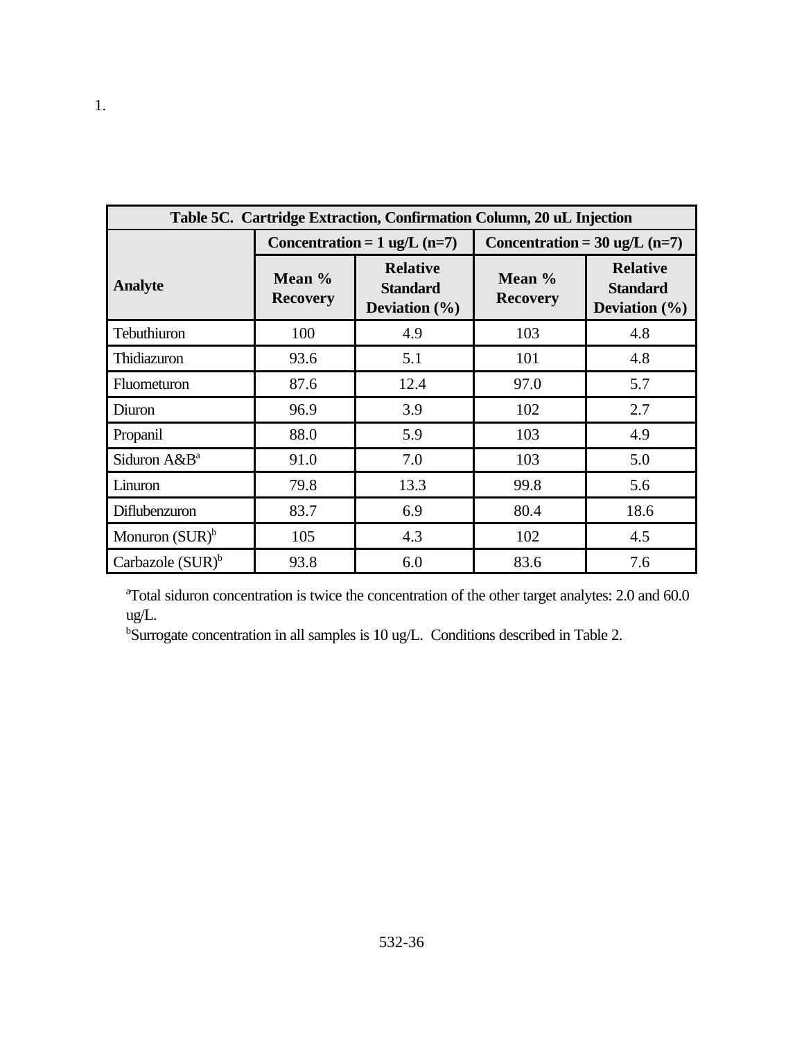| Table 5C. Cartridge Extraction, Confirmation Column, 20 uL Injection |                           |                                                         |                                         |                                                         |
|----------------------------------------------------------------------|---------------------------|---------------------------------------------------------|-----------------------------------------|---------------------------------------------------------|
|                                                                      |                           | Concentration = $1 \text{ ug/L}$ (n=7)                  | Concentration = $30 \text{ ug/L}$ (n=7) |                                                         |
| <b>Analyte</b>                                                       | Mean %<br><b>Recovery</b> | <b>Relative</b><br><b>Standard</b><br>Deviation $(\% )$ | Mean %<br><b>Recovery</b>               | <b>Relative</b><br><b>Standard</b><br>Deviation $(\% )$ |
| Tebuthiuron                                                          | 100                       | 4.9                                                     | 103                                     | 4.8                                                     |
| Thidiazuron                                                          | 93.6                      | 5.1                                                     | 101                                     | 4.8                                                     |
| Fluometuron                                                          | 87.6                      | 12.4                                                    | 97.0                                    | 5.7                                                     |
| Diuron                                                               | 96.9                      | 3.9                                                     | 102                                     | 2.7                                                     |
| Propanil                                                             | 88.0                      | 5.9                                                     | 103                                     | 4.9                                                     |
| Siduron A&B <sup>a</sup>                                             | 91.0                      | 7.0                                                     | 103                                     | 5.0                                                     |
| Linuron                                                              | 79.8                      | 13.3                                                    | 99.8                                    | 5.6                                                     |
| Diflubenzuron                                                        | 83.7                      | 6.9                                                     | 80.4                                    | 18.6                                                    |
| Monuron $(SUR)^b$                                                    | 105                       | 4.3                                                     | 102                                     | 4.5                                                     |
| Carbazole $(SUR)^b$                                                  | 93.8                      | 6.0                                                     | 83.6                                    | 7.6                                                     |

<sup>a</sup>Total siduron concentration is twice the concentration of the other target analytes: 2.0 and 60.0 ug/L.

bSurrogate concentration in all samples is 10 ug/L. Conditions described in Table 2.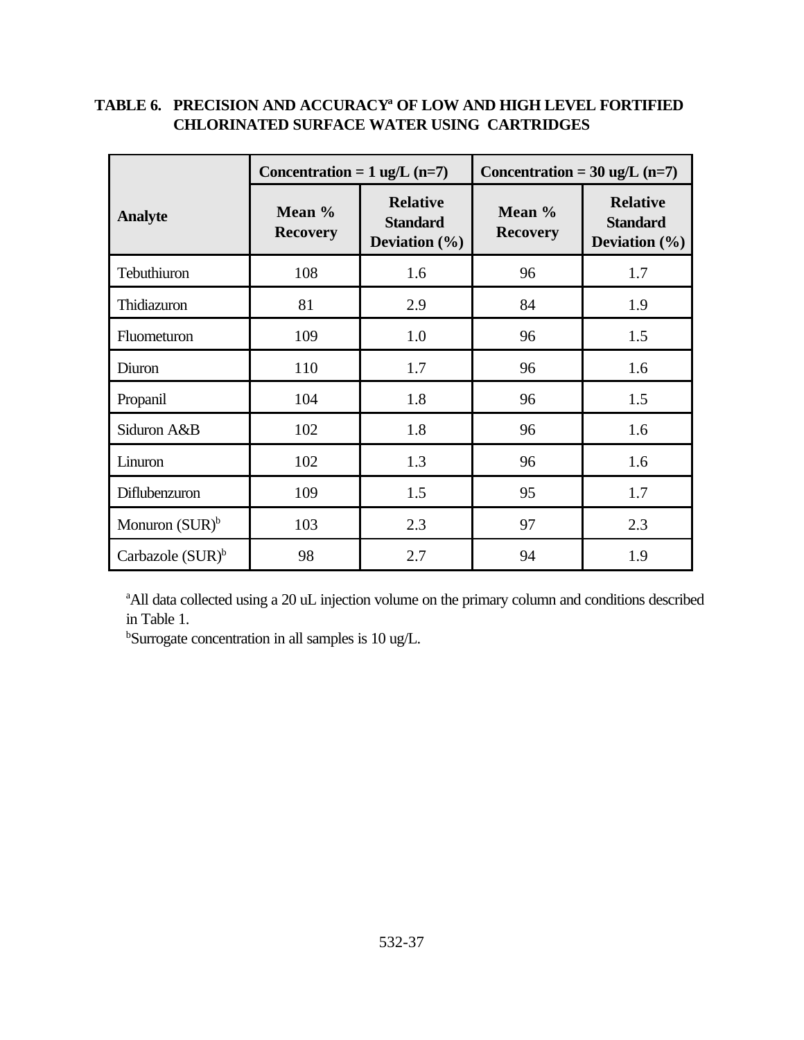|                     | Concentration = $1 \text{ ug/L}$ (n=7) |                                                         | Concentration = $30 \text{ ug/L}$ (n=7) |                                                         |
|---------------------|----------------------------------------|---------------------------------------------------------|-----------------------------------------|---------------------------------------------------------|
| <b>Analyte</b>      | Mean %<br><b>Recovery</b>              | <b>Relative</b><br><b>Standard</b><br>Deviation $(\% )$ | Mean %<br><b>Recovery</b>               | <b>Relative</b><br><b>Standard</b><br>Deviation $(\% )$ |
| Tebuthiuron         | 108                                    | 1.6                                                     | 96                                      | 1.7                                                     |
| Thidiazuron         | 81                                     | 2.9                                                     | 84                                      | 1.9                                                     |
| Fluometuron         | 109                                    | 1.0                                                     | 96                                      | 1.5                                                     |
| Diuron              | 110                                    | 1.7                                                     | 96                                      | 1.6                                                     |
| Propanil            | 104                                    | 1.8                                                     | 96                                      | 1.5                                                     |
| Siduron A&B         | 102                                    | 1.8                                                     | 96                                      | 1.6                                                     |
| Linuron             | 102                                    | 1.3                                                     | 96                                      | 1.6                                                     |
| Diflubenzuron       | 109                                    | 1.5                                                     | 95                                      | 1.7                                                     |
| Monuron $(SUR)^b$   | 103                                    | 2.3                                                     | 97                                      | 2.3                                                     |
| Carbazole $(SUR)^b$ | 98                                     | 2.7                                                     | 94                                      | 1.9                                                     |

### **TABLE 6. PRECISION AND ACCURACY<sup>a</sup> OF LOW AND HIGH LEVEL FORTIFIED CHLORINATED SURFACE WATER USING CARTRIDGES**

<sup>a</sup>All data collected using a 20 uL injection volume on the primary column and conditions described in Table 1.

bSurrogate concentration in all samples is 10 ug/L.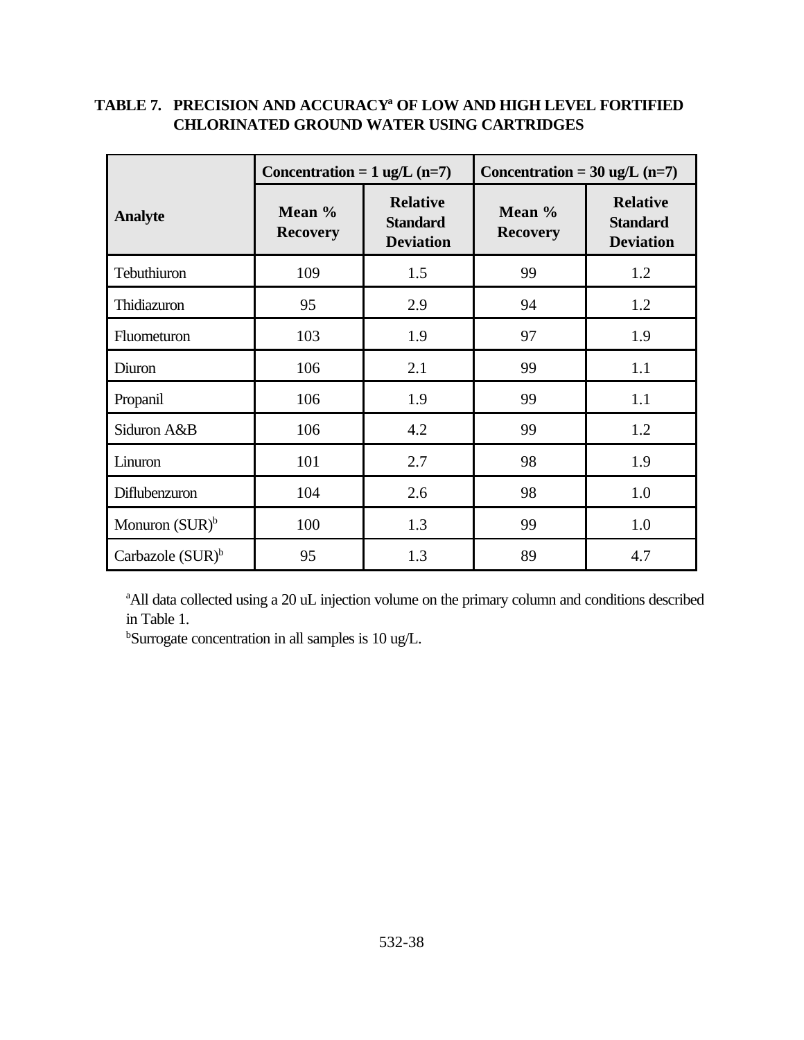|                     | Concentration = $1$ ug/L (n=7) |                                                        | Concentration = $30 \text{ ug/L}$ (n=7) |                                                        |
|---------------------|--------------------------------|--------------------------------------------------------|-----------------------------------------|--------------------------------------------------------|
| <b>Analyte</b>      | Mean %<br><b>Recovery</b>      | <b>Relative</b><br><b>Standard</b><br><b>Deviation</b> | Mean %<br><b>Recovery</b>               | <b>Relative</b><br><b>Standard</b><br><b>Deviation</b> |
| Tebuthiuron         | 109                            | 1.5                                                    | 99                                      | 1.2                                                    |
| Thidiazuron         | 95                             | 2.9                                                    | 94                                      | 1.2                                                    |
| Fluometuron         | 103                            | 1.9                                                    | 97                                      | 1.9                                                    |
| Diuron              | 106                            | 2.1                                                    | 99                                      | 1.1                                                    |
| Propanil            | 106                            | 1.9                                                    | 99                                      | 1.1                                                    |
| Siduron A&B         | 106                            | 4.2                                                    | 99                                      | 1.2                                                    |
| Linuron             | 101                            | 2.7                                                    | 98                                      | 1.9                                                    |
| Diflubenzuron       | 104                            | 2.6                                                    | 98                                      | 1.0                                                    |
| Monuron $(SUR)^b$   | 100                            | 1.3                                                    | 99                                      | 1.0                                                    |
| Carbazole $(SUR)^b$ | 95                             | 1.3                                                    | 89                                      | 4.7                                                    |

### **TABLE 7. PRECISION AND ACCURACY<sup>a</sup> OF LOW AND HIGH LEVEL FORTIFIED CHLORINATED GROUND WATER USING CARTRIDGES**

<sup>a</sup>All data collected using a 20 uL injection volume on the primary column and conditions described in Table 1.

<sup>b</sup>Surrogate concentration in all samples is 10 ug/L.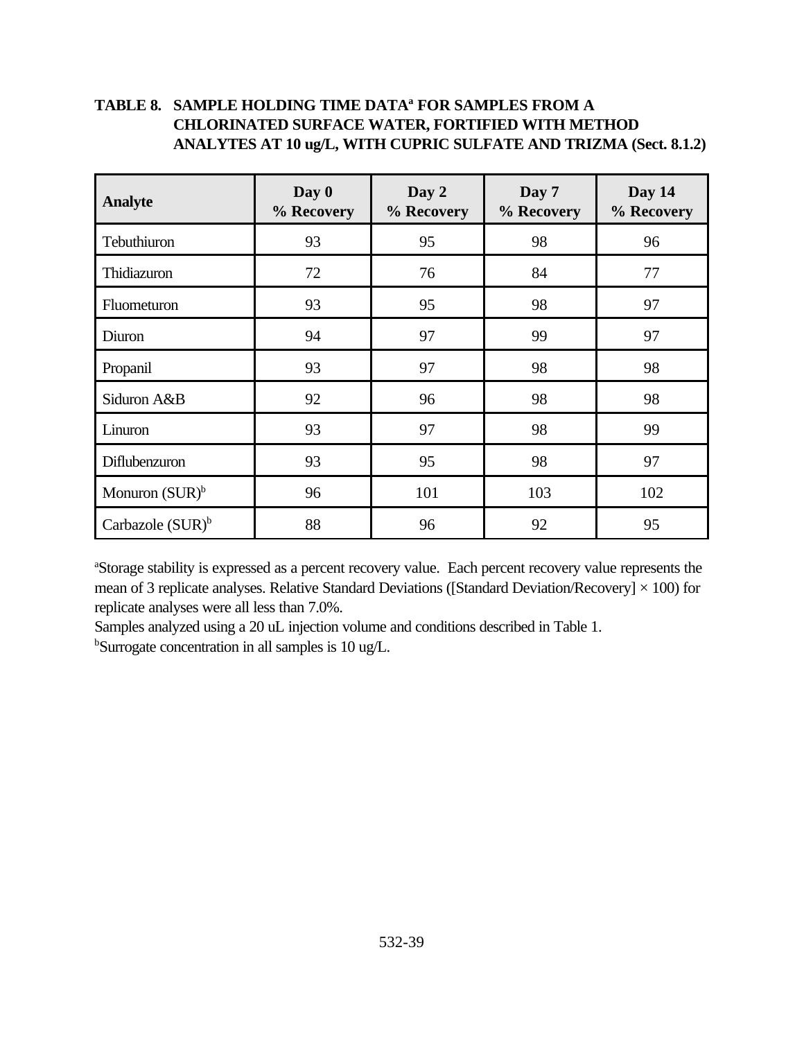# **TABLE 8. SAMPLE HOLDING TIME DATA<sup>a</sup> FOR SAMPLES FROM A CHLORINATED SURFACE WATER, FORTIFIED WITH METHOD ANALYTES AT 10 ug/L, WITH CUPRIC SULFATE AND TRIZMA (Sect. 8.1.2)**

| <b>Analyte</b>      | Day 0<br>% Recovery | Day 2<br>% Recovery | Day 7<br>% Recovery | Day 14<br>% Recovery |
|---------------------|---------------------|---------------------|---------------------|----------------------|
| Tebuthiuron         | 93                  | 95                  | 98                  | 96                   |
| Thidiazuron         | 72                  | 76                  | 84                  | 77                   |
| Fluometuron         | 93                  | 95                  | 98                  | 97                   |
| Diuron              | 94                  | 97                  | 99                  | 97                   |
| Propanil            | 93                  | 97                  | 98                  | 98                   |
| Siduron A&B         | 92                  | 96                  | 98                  | 98                   |
| Linuron             | 93                  | 97                  | 98                  | 99                   |
| Diflubenzuron       | 93                  | 95                  | 98                  | 97                   |
| Monuron $(SUR)^b$   | 96                  | 101                 | 103                 | 102                  |
| Carbazole $(SUR)^b$ | 88                  | 96                  | 92                  | 95                   |

<sup>a</sup>Storage stability is expressed as a percent recovery value. Each percent recovery value represents the mean of 3 replicate analyses. Relative Standard Deviations ([Standard Deviation/Recovery]  $\times$  100) for replicate analyses were all less than 7.0%.

Samples analyzed using a 20 uL injection volume and conditions described in Table 1. bSurrogate concentration in all samples is 10 ug/L.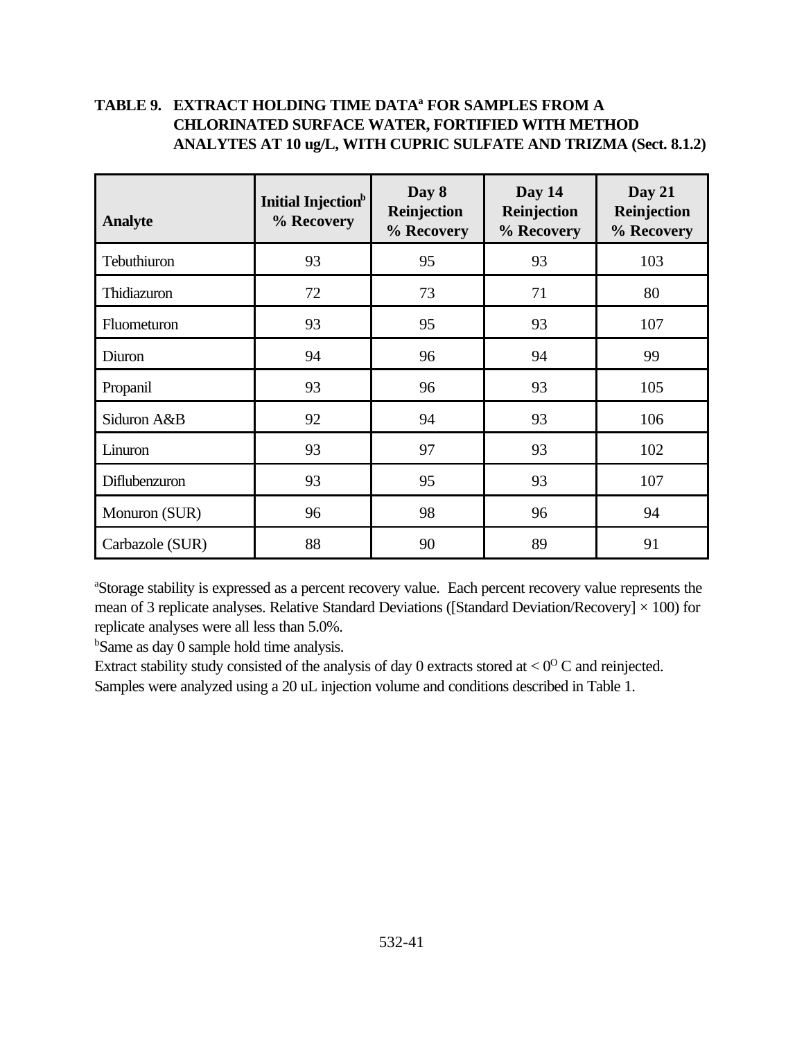# **TABLE 9. EXTRACT HOLDING TIME DATA<sup>a</sup> FOR SAMPLES FROM A CHLORINATED SURFACE WATER, FORTIFIED WITH METHOD ANALYTES AT 10 ug/L, WITH CUPRIC SULFATE AND TRIZMA (Sect. 8.1.2)**

| <b>Analyte</b>  | Initial Injection <sup>b</sup><br>% Recovery | Day 8<br>Reinjection<br>% Recovery | Day 14<br>Reinjection<br>% Recovery | Day 21<br>Reinjection<br>% Recovery |
|-----------------|----------------------------------------------|------------------------------------|-------------------------------------|-------------------------------------|
| Tebuthiuron     | 93                                           | 95                                 | 93                                  | 103                                 |
| Thidiazuron     | 72                                           | 73                                 | 71                                  | 80                                  |
| Fluometuron     | 93                                           | 95                                 | 93                                  | 107                                 |
| Diuron          | 94                                           | 96                                 | 94                                  | 99                                  |
| Propanil        | 93                                           | 96                                 | 93                                  | 105                                 |
| Siduron A&B     | 92                                           | 94                                 | 93                                  | 106                                 |
| Linuron         | 93                                           | 97                                 | 93                                  | 102                                 |
| Diflubenzuron   | 93                                           | 95                                 | 93                                  | 107                                 |
| Monuron (SUR)   | 96                                           | 98                                 | 96                                  | 94                                  |
| Carbazole (SUR) | 88                                           | 90                                 | 89                                  | 91                                  |

<sup>a</sup>Storage stability is expressed as a percent recovery value. Each percent recovery value represents the mean of 3 replicate analyses. Relative Standard Deviations ([Standard Deviation/Recovery]  $\times$  100) for replicate analyses were all less than 5.0%.

bSame as day 0 sample hold time analysis.

Extract stability study consisted of the analysis of day 0 extracts stored at  $< 0^{\circ}$  C and reinjected. Samples were analyzed using a 20 uL injection volume and conditions described in Table 1.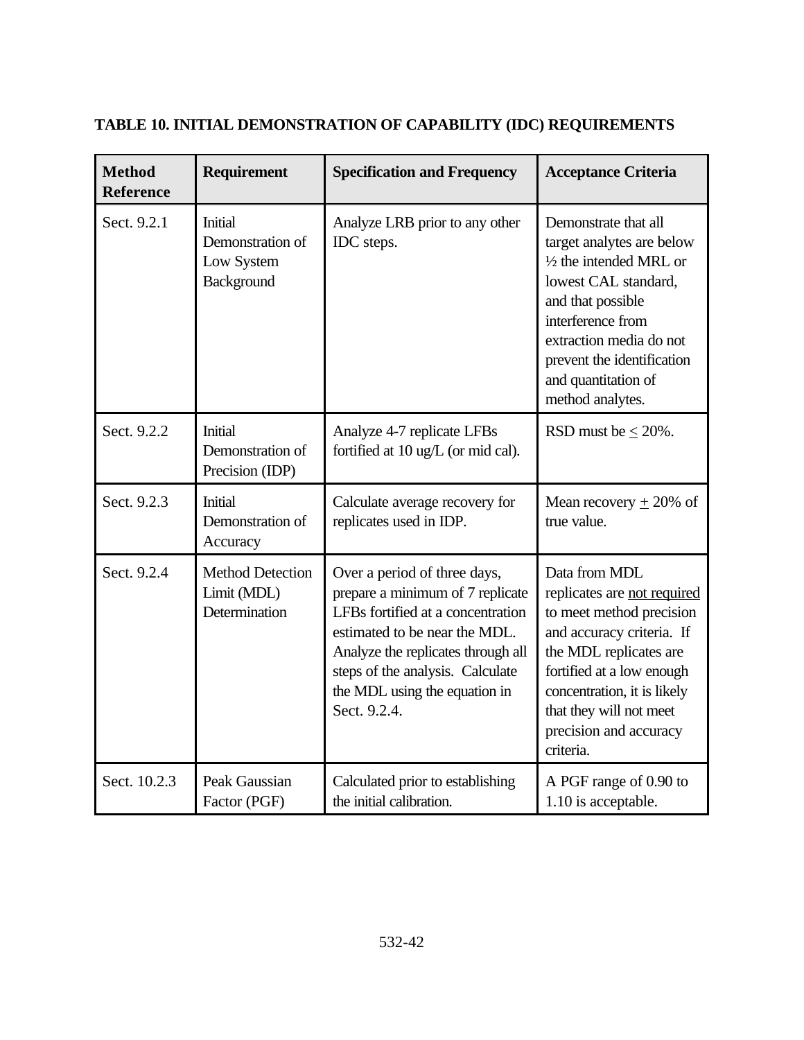| <b>Method</b><br><b>Reference</b> | Requirement                                             | <b>Specification and Frequency</b>                                                                                                                                                                                                                                | <b>Acceptance Criteria</b>                                                                                                                                                                                                                                    |
|-----------------------------------|---------------------------------------------------------|-------------------------------------------------------------------------------------------------------------------------------------------------------------------------------------------------------------------------------------------------------------------|---------------------------------------------------------------------------------------------------------------------------------------------------------------------------------------------------------------------------------------------------------------|
| Sect. 9.2.1                       | Initial<br>Demonstration of<br>Low System<br>Background | Analyze LRB prior to any other<br>IDC steps.                                                                                                                                                                                                                      | Demonstrate that all<br>target analytes are below<br>$\frac{1}{2}$ the intended MRL or<br>lowest CAL standard,<br>and that possible<br>interference from<br>extraction media do not<br>prevent the identification<br>and quantitation of<br>method analytes.  |
| Sect. 9.2.2                       | Initial<br>Demonstration of<br>Precision (IDP)          | Analyze 4-7 replicate LFBs<br>fortified at 10 ug/L (or mid cal).                                                                                                                                                                                                  | RSD must be $\leq$ 20%.                                                                                                                                                                                                                                       |
| Sect. 9.2.3                       | <b>Initial</b><br>Demonstration of<br>Accuracy          | Calculate average recovery for<br>replicates used in IDP.                                                                                                                                                                                                         | Mean recovery $\pm$ 20% of<br>true value.                                                                                                                                                                                                                     |
| Sect. 9.2.4                       | <b>Method Detection</b><br>Limit (MDL)<br>Determination | Over a period of three days,<br>prepare a minimum of 7 replicate<br>LFBs fortified at a concentration<br>estimated to be near the MDL.<br>Analyze the replicates through all<br>steps of the analysis. Calculate<br>the MDL using the equation in<br>Sect. 9.2.4. | Data from MDL<br>replicates are not required<br>to meet method precision<br>and accuracy criteria. If<br>the MDL replicates are<br>fortified at a low enough<br>concentration, it is likely<br>that they will not meet<br>precision and accuracy<br>criteria. |
| Sect. 10.2.3                      | Peak Gaussian<br>Factor (PGF)                           | Calculated prior to establishing<br>the initial calibration.                                                                                                                                                                                                      | A PGF range of 0.90 to<br>1.10 is acceptable.                                                                                                                                                                                                                 |

# **TABLE 10. INITIAL DEMONSTRATION OF CAPABILITY (IDC) REQUIREMENTS**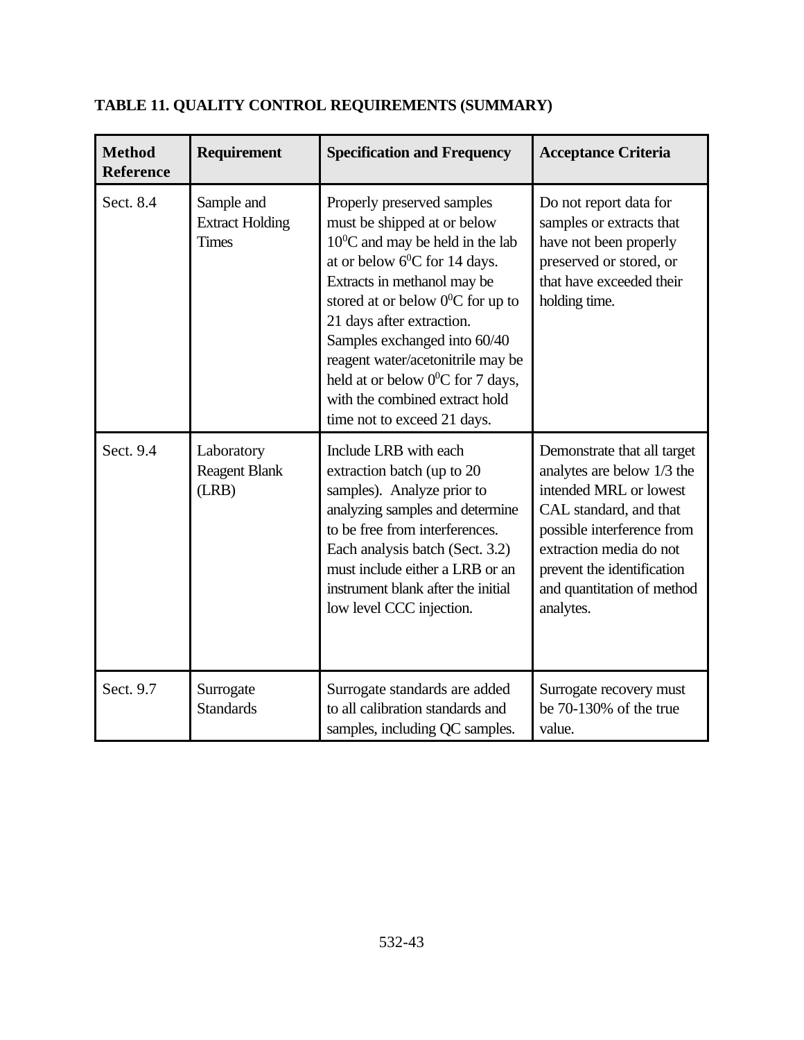| <b>Method</b><br><b>Reference</b> | Requirement                                          | <b>Specification and Frequency</b>                                                                                                                                                                                                                                                                                                                                                                                         | <b>Acceptance Criteria</b>                                                                                                                                                                                                                      |
|-----------------------------------|------------------------------------------------------|----------------------------------------------------------------------------------------------------------------------------------------------------------------------------------------------------------------------------------------------------------------------------------------------------------------------------------------------------------------------------------------------------------------------------|-------------------------------------------------------------------------------------------------------------------------------------------------------------------------------------------------------------------------------------------------|
| Sect. 8.4                         | Sample and<br><b>Extract Holding</b><br><b>Times</b> | Properly preserved samples<br>must be shipped at or below<br>$10^0$ C and may be held in the lab<br>at or below $6^{\circ}$ C for 14 days.<br>Extracts in methanol may be<br>stored at or below $0^0C$ for up to<br>21 days after extraction.<br>Samples exchanged into 60/40<br>reagent water/acetonitrile may be<br>held at or below $0^0C$ for 7 days,<br>with the combined extract hold<br>time not to exceed 21 days. | Do not report data for<br>samples or extracts that<br>have not been properly<br>preserved or stored, or<br>that have exceeded their<br>holding time.                                                                                            |
| Sect. 9.4                         | Laboratory<br><b>Reagent Blank</b><br>(LRB)          | Include LRB with each<br>extraction batch (up to 20<br>samples). Analyze prior to<br>analyzing samples and determine<br>to be free from interferences.<br>Each analysis batch (Sect. 3.2)<br>must include either a LRB or an<br>instrument blank after the initial<br>low level CCC injection.                                                                                                                             | Demonstrate that all target<br>analytes are below 1/3 the<br>intended MRL or lowest<br>CAL standard, and that<br>possible interference from<br>extraction media do not<br>prevent the identification<br>and quantitation of method<br>analytes. |
| Sect. 9.7                         | Surrogate<br><b>Standards</b>                        | Surrogate standards are added<br>to all calibration standards and<br>samples, including QC samples.                                                                                                                                                                                                                                                                                                                        | Surrogate recovery must<br>be 70-130% of the true<br>value.                                                                                                                                                                                     |

# **TABLE 11. QUALITY CONTROL REQUIREMENTS (SUMMARY)**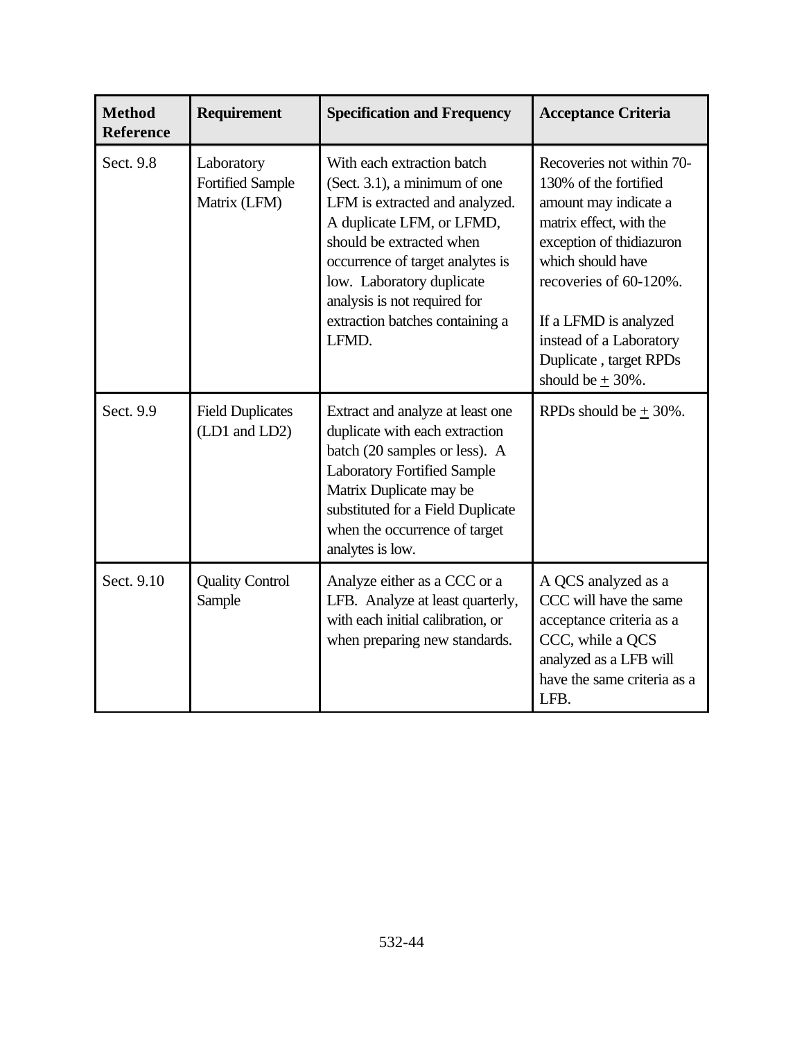| <b>Method</b><br><b>Reference</b> | <b>Requirement</b>                                    | <b>Specification and Frequency</b>                                                                                                                                                                                                                                                                  | <b>Acceptance Criteria</b>                                                                                                                                                                                                                                                              |
|-----------------------------------|-------------------------------------------------------|-----------------------------------------------------------------------------------------------------------------------------------------------------------------------------------------------------------------------------------------------------------------------------------------------------|-----------------------------------------------------------------------------------------------------------------------------------------------------------------------------------------------------------------------------------------------------------------------------------------|
| Sect. 9.8                         | Laboratory<br><b>Fortified Sample</b><br>Matrix (LFM) | With each extraction batch<br>(Sect. 3.1), a minimum of one<br>LFM is extracted and analyzed.<br>A duplicate LFM, or LFMD,<br>should be extracted when<br>occurrence of target analytes is<br>low. Laboratory duplicate<br>analysis is not required for<br>extraction batches containing a<br>LFMD. | Recoveries not within 70-<br>130% of the fortified<br>amount may indicate a<br>matrix effect, with the<br>exception of thidiazuron<br>which should have<br>recoveries of 60-120%.<br>If a LFMD is analyzed<br>instead of a Laboratory<br>Duplicate, target RPDs<br>should be $\pm$ 30%. |
| Sect. 9.9                         | <b>Field Duplicates</b><br>(LD1 and LD2)              | Extract and analyze at least one<br>duplicate with each extraction<br>batch (20 samples or less). A<br><b>Laboratory Fortified Sample</b><br>Matrix Duplicate may be<br>substituted for a Field Duplicate<br>when the occurrence of target<br>analytes is low.                                      | RPDs should be $\pm$ 30%.                                                                                                                                                                                                                                                               |
| Sect. 9.10                        | <b>Quality Control</b><br>Sample                      | Analyze either as a CCC or a<br>LFB. Analyze at least quarterly,<br>with each initial calibration, or<br>when preparing new standards.                                                                                                                                                              | A QCS analyzed as a<br>CCC will have the same<br>acceptance criteria as a<br>CCC, while a QCS<br>analyzed as a LFB will<br>have the same criteria as a<br>LFB.                                                                                                                          |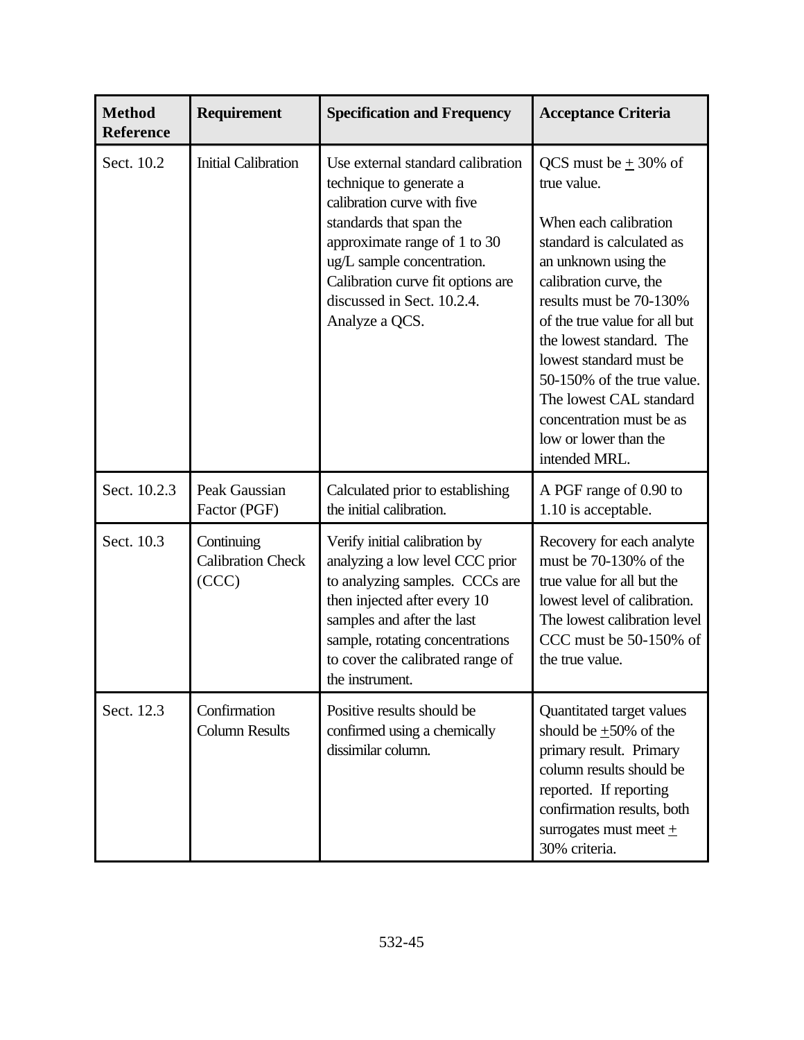| <b>Method</b><br>Reference | <b>Requirement</b>                              | <b>Specification and Frequency</b>                                                                                                                                                                                                                                        | <b>Acceptance Criteria</b>                                                                                                                                                                                                                                                                                                                                                                        |
|----------------------------|-------------------------------------------------|---------------------------------------------------------------------------------------------------------------------------------------------------------------------------------------------------------------------------------------------------------------------------|---------------------------------------------------------------------------------------------------------------------------------------------------------------------------------------------------------------------------------------------------------------------------------------------------------------------------------------------------------------------------------------------------|
| Sect. 10.2                 | <b>Initial Calibration</b>                      | Use external standard calibration<br>technique to generate a<br>calibration curve with five<br>standards that span the<br>approximate range of 1 to 30<br>ug/L sample concentration.<br>Calibration curve fit options are<br>discussed in Sect. 10.2.4.<br>Analyze a QCS. | QCS must be $\pm$ 30% of<br>true value.<br>When each calibration<br>standard is calculated as<br>an unknown using the<br>calibration curve, the<br>results must be 70-130%<br>of the true value for all but<br>the lowest standard. The<br>lowest standard must be<br>50-150% of the true value.<br>The lowest CAL standard<br>concentration must be as<br>low or lower than the<br>intended MRL. |
| Sect. 10.2.3               | Peak Gaussian<br>Factor (PGF)                   | Calculated prior to establishing<br>the initial calibration.                                                                                                                                                                                                              | A PGF range of 0.90 to<br>1.10 is acceptable.                                                                                                                                                                                                                                                                                                                                                     |
| Sect. 10.3                 | Continuing<br><b>Calibration Check</b><br>(CCC) | Verify initial calibration by<br>analyzing a low level CCC prior<br>to analyzing samples. CCCs are<br>then injected after every 10<br>samples and after the last<br>sample, rotating concentrations<br>to cover the calibrated range of<br>the instrument.                | Recovery for each analyte<br>must be 70-130% of the<br>true value for all but the<br>lowest level of calibration.<br>The lowest calibration level<br>CCC must be 50-150% of<br>the true value.                                                                                                                                                                                                    |
| Sect. 12.3                 | Confirmation<br><b>Column Results</b>           | Positive results should be<br>confirmed using a chemically<br>dissimilar column.                                                                                                                                                                                          | Quantitated target values<br>should be $\pm 50\%$ of the<br>primary result. Primary<br>column results should be<br>reported. If reporting<br>confirmation results, both<br>surrogates must meet $\pm$<br>30% criteria.                                                                                                                                                                            |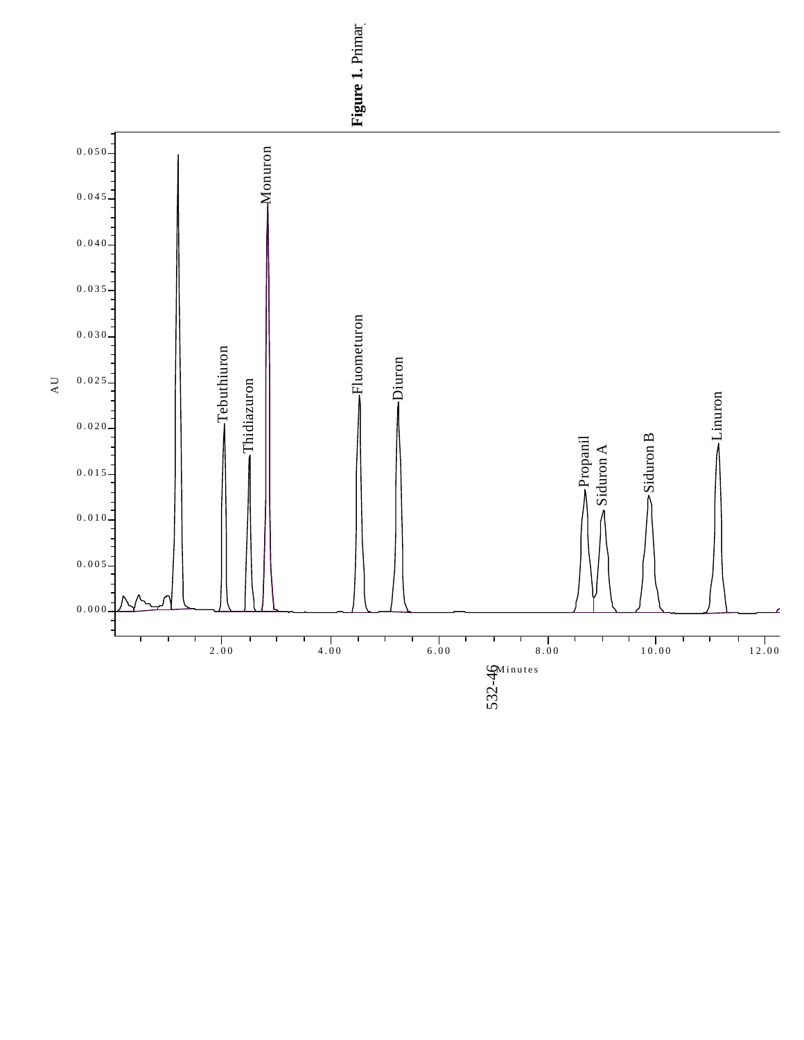